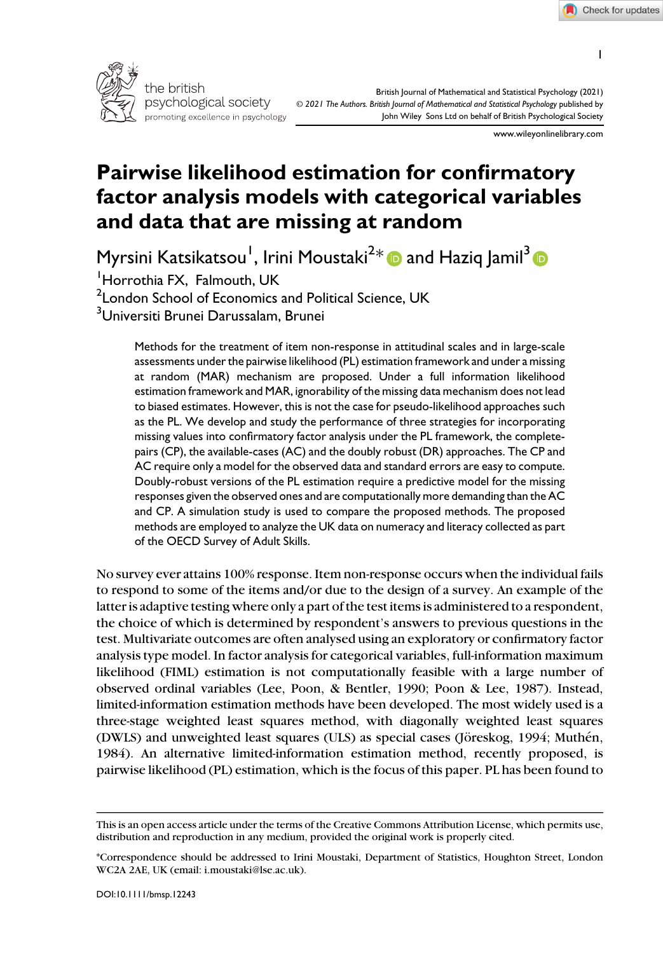1



British Journal of Mathematical and Statistical Psychology (2021) © 2021 The Authors. British Journal of Mathematical and Statistical Psychology published by John Wiley Sons Ltd on behalf of British Psychological Society

www.wileyonlinelibrary.com

# Pairwise likelihood estimation for confirmatory factor analysis models with categorical variables and data that are missing at random

Myrsini Katsikatsou<sup>1</sup>, Irini Moustaki<sup>2</sup>[\\*](https://orcid.org/0000-0001-8371-1251) **@** and Haziq Jamil<sup>[3](https://orcid.org/0000-0003-3298-1010)</sup>

1 Horrothia FX, Falmouth, UK

 $^2$ London School of Economics and Political Science, UK

<sup>3</sup>Universiti Brunei Darussalam, Brunei

Methods for the treatment of item non-response in attitudinal scales and in large-scale assessments under the pairwise likelihood (PL) estimation framework and under a missing at random (MAR) mechanism are proposed. Under a full information likelihood estimation framework and MAR, ignorability of the missing data mechanism does not lead to biased estimates. However, this is not the case for pseudo-likelihood approaches such as the PL. We develop and study the performance of three strategies for incorporating missing values into confirmatory factor analysis under the PL framework, the completepairs (CP), the available-cases (AC) and the doubly robust (DR) approaches. The CP and AC require only a model for the observed data and standard errors are easy to compute. Doubly-robust versions of the PL estimation require a predictive model for the missing responses given the observed ones and are computationally more demanding than the AC and CP. A simulation study is used to compare the proposed methods. The proposed methods are employed to analyze the UK data on numeracy and literacy collected as part of the OECD Survey of Adult Skills.

No survey ever attains 100% response. Item non-response occurs when the individual fails to respond to some of the items and/or due to the design of a survey. An example of the latter is adaptive testing where only a part of the test items is administered to a respondent, the choice of which is determined by respondent's answers to previous questions in the test. Multivariate outcomes are often analysed using an exploratory or confirmatory factor analysis type model. In factor analysis for categorical variables, full-information maximum likelihood (FIML) estimation is not computationally feasible with a large number of observed ordinal variables (Lee, Poon, & Bentler, 1990; Poon & Lee, 1987). Instead, limited-information estimation methods have been developed. The most widely used is a three-stage weighted least squares method, with diagonally weighted least squares (DWLS) and unweighted least squares (ULS) as special cases (Jöreskog, 1994; Muthén, 1984). An alternative limited-information estimation method, recently proposed, is pairwise likelihood (PL) estimation, which is the focus of this paper. PL has been found to

This is an open access article under the terms of the [Creative Commons Attribution](http://creativecommons.org/licenses/by/4.0/) License, which permits use, distribution and reproduction in any medium, provided the original work is properly cited.

<sup>\*</sup>Correspondence should be addressed to Irini Moustaki, Department of Statistics, Houghton Street, London WC2A 2AE, UK (email: [i.moustaki@lse.ac.uk](mailto:)).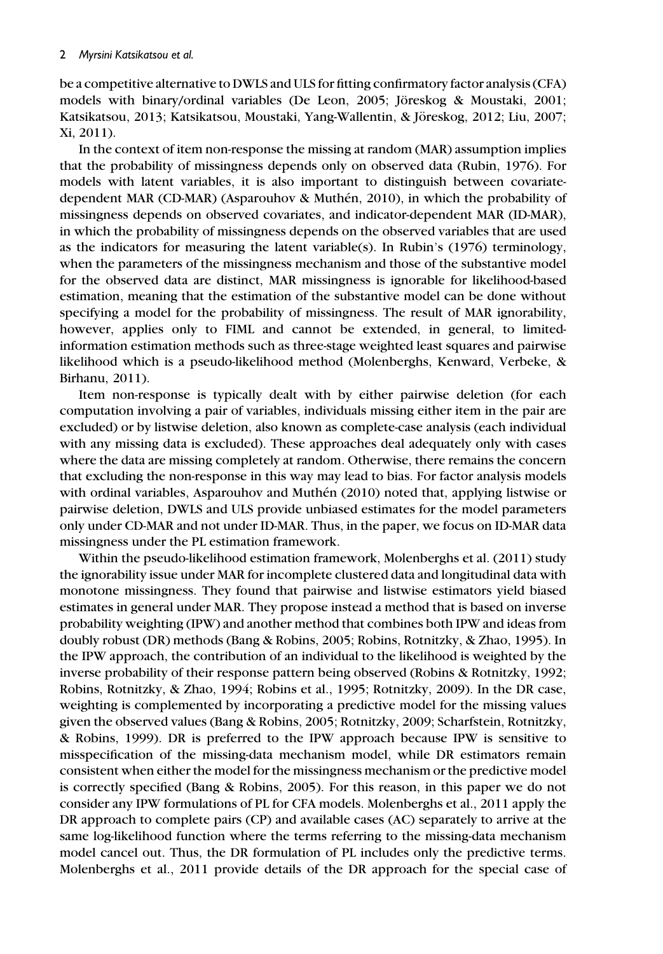be a competitive alternative to DWLS and ULS for fitting confirmatory factor analysis (CFA) models with binary/ordinal variables (De Leon, 2005; Jöreskog & Moustaki, 2001; Katsikatsou, 2013; Katsikatsou, Moustaki, Yang-Wallentin, & Jöreskog, 2012; Liu, 2007; Xi, 2011).

In the context of item non-response the missing at random (MAR) assumption implies that the probability of missingness depends only on observed data (Rubin, 1976). For models with latent variables, it is also important to distinguish between covariatedependent MAR (CD-MAR) (Asparouhov & Muthén, 2010), in which the probability of missingness depends on observed covariates, and indicator-dependent MAR (ID-MAR), in which the probability of missingness depends on the observed variables that are used as the indicators for measuring the latent variable(s). In Rubin's (1976) terminology, when the parameters of the missingness mechanism and those of the substantive model for the observed data are distinct, MAR missingness is ignorable for likelihood-based estimation, meaning that the estimation of the substantive model can be done without specifying a model for the probability of missingness. The result of MAR ignorability, however, applies only to FIML and cannot be extended, in general, to limitedinformation estimation methods such as three-stage weighted least squares and pairwise likelihood which is a pseudo-likelihood method (Molenberghs, Kenward, Verbeke, & Birhanu, 2011).

Item non-response is typically dealt with by either pairwise deletion (for each computation involving a pair of variables, individuals missing either item in the pair are excluded) or by listwise deletion, also known as complete-case analysis (each individual with any missing data is excluded). These approaches deal adequately only with cases where the data are missing completely at random. Otherwise, there remains the concern that excluding the non-response in this way may lead to bias. For factor analysis models with ordinal variables, Asparouhov and Muthén (2010) noted that, applying listwise or pairwise deletion, DWLS and ULS provide unbiased estimates for the model parameters only under CD-MAR and not under ID-MAR. Thus, in the paper, we focus on ID-MAR data missingness under the PL estimation framework.

Within the pseudo-likelihood estimation framework, Molenberghs et al. (2011) study the ignorability issue under MAR for incomplete clustered data and longitudinal data with monotone missingness. They found that pairwise and listwise estimators yield biased estimates in general under MAR. They propose instead a method that is based on inverse probability weighting (IPW) and another method that combines both IPW and ideas from doubly robust (DR) methods (Bang & Robins, 2005; Robins, Rotnitzky, & Zhao, 1995). In the IPW approach, the contribution of an individual to the likelihood is weighted by the inverse probability of their response pattern being observed (Robins & Rotnitzky, 1992; Robins, Rotnitzky, & Zhao, 1994; Robins et al., 1995; Rotnitzky, 2009). In the DR case, weighting is complemented by incorporating a predictive model for the missing values given the observed values (Bang & Robins, 2005; Rotnitzky, 2009; Scharfstein, Rotnitzky, & Robins, 1999). DR is preferred to the IPW approach because IPW is sensitive to misspecification of the missing-data mechanism model, while DR estimators remain consistent when either the model for the missingness mechanism or the predictive model is correctly specified (Bang & Robins, 2005). For this reason, in this paper we do not consider any IPW formulations of PL for CFA models. Molenberghs et al., 2011 apply the DR approach to complete pairs (CP) and available cases (AC) separately to arrive at the same log-likelihood function where the terms referring to the missing-data mechanism model cancel out. Thus, the DR formulation of PL includes only the predictive terms. Molenberghs et al., 2011 provide details of the DR approach for the special case of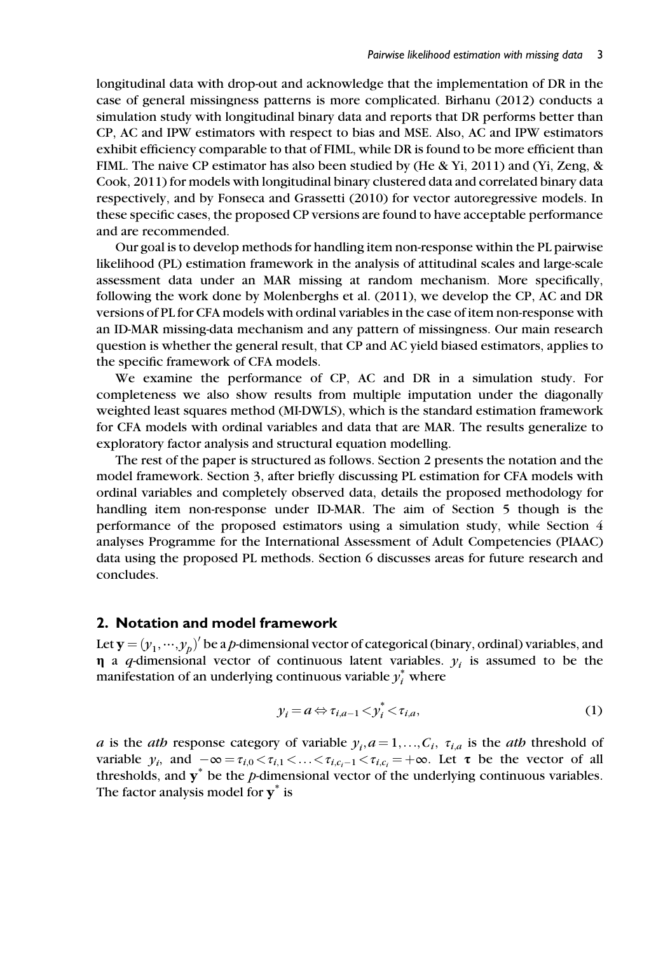longitudinal data with drop-out and acknowledge that the implementation of DR in the case of general missingness patterns is more complicated. Birhanu (2012) conducts a simulation study with longitudinal binary data and reports that DR performs better than CP, AC and IPW estimators with respect to bias and MSE. Also, AC and IPW estimators exhibit efficiency comparable to that of FIML, while DR is found to be more efficient than FIML. The naive CP estimator has also been studied by (He & Yi, 2011) and (Yi, Zeng, & Cook, 2011) for models with longitudinal binary clustered data and correlated binary data respectively, and by Fonseca and Grassetti (2010) for vector autoregressive models. In these specific cases, the proposed CP versions are found to have acceptable performance and are recommended.

Our goal is to develop methods for handling item non-response within the PL pairwise likelihood (PL) estimation framework in the analysis of attitudinal scales and large-scale assessment data under an MAR missing at random mechanism. More specifically, following the work done by Molenberghs et al. (2011), we develop the CP, AC and DR versions of PL for CFA models with ordinal variables in the case of item non-response with an ID-MAR missing-data mechanism and any pattern of missingness. Our main research question is whether the general result, that CP and AC yield biased estimators, applies to the specific framework of CFA models.

We examine the performance of CP, AC and DR in a simulation study. For completeness we also show results from multiple imputation under the diagonally weighted least squares method (MI-DWLS), which is the standard estimation framework for CFA models with ordinal variables and data that are MAR. The results generalize to exploratory factor analysis and structural equation modelling.

The rest of the paper is structured as follows. Section 2 presents the notation and the model framework. Section 3, after briefly discussing PL estimation for CFA models with ordinal variables and completely observed data, details the proposed methodology for handling item non-response under ID-MAR. The aim of Section 5 though is the performance of the proposed estimators using a simulation study, while Section 4 analyses Programme for the International Assessment of Adult Competencies (PIAAC) data using the proposed PL methods. Section 6 discusses areas for future research and concludes.

#### 2. Notation and model framework

Let  $\mathbf{y} = (y_1, \dots, y_p)^\prime$  be a *p*-dimensional vector of categorical (binary, ordinal) variables, and<br>n a *a*-dimensional vector of continuous latent variables v is assumed to be the  $\eta$  a q-dimensional vector of continuous latent variables.  $y_i$  is assumed to be the manifestation of an underlying continuous variable  $y_i^*$  where

$$
y_i = a \Leftrightarrow \tau_{i,a-1} < y_i^* < \tau_{i,a},\tag{1}
$$

a is the ath response category of variable  $y_i$ ,  $a = 1, \ldots, C_i$ ,  $\tau_{i,a}$  is the ath threshold of variable  $y_i$ , and  $-\infty = \tau_{i,0} < \tau_{i,1} < \ldots < \tau_{i,c_i-1} < \tau_{i,c_i} = +\infty$ . Let  $\tau$  be the vector of all thresholds, and  $y^*$  be the p-dimensional vector of the underlying continuous variables. The factor analysis model for  $y^*$  is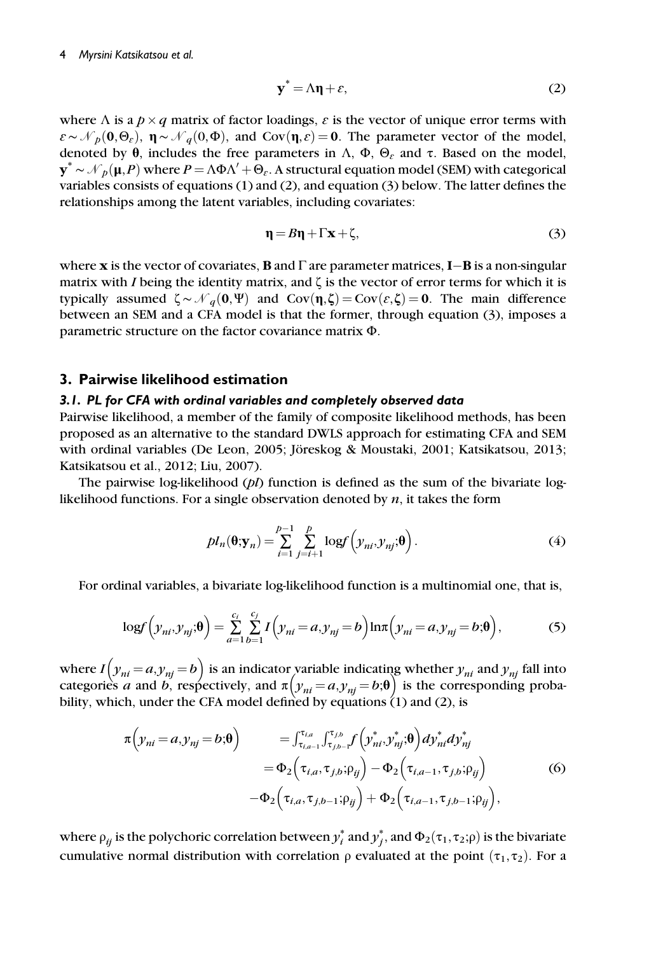#### 4 Myrsini Katsikatsou et al.

$$
\mathbf{y}^* = \Lambda \mathbf{\eta} + \varepsilon,\tag{2}
$$

where  $\Lambda$  is a  $p \times q$  matrix of factor loadings,  $\varepsilon$  is the vector of unique error terms with  $\varepsilon \sim \mathcal{N}_p(\mathbf{0},\Theta_\varepsilon)$ ,  $\mathbf{\eta} \sim \mathcal{N}_q(\mathbf{0},\Phi)$ , and Cov $(\mathbf{\eta},\varepsilon) = \mathbf{0}$ . The parameter vector of the model, denoted by  $\theta$ , includes the free parameters in  $\Lambda$ ,  $\Phi$ ,  $\Theta$ <sub>c</sub> and τ. Based on the model,  $y^* \sim \mathcal{N}_p(\mu, P)$  where  $P = \Lambda \Phi \Lambda' + \Theta_{\varepsilon}$ . A structural equation model (SEM) with categorical variables consists of equations (1) and (2) and equation (3) below. The latter defines the variables consists of equations (1) and (2), and equation (3) below. The latter defines the relationships among the latent variables, including covariates:

$$
\eta = B\eta + \Gamma \mathbf{x} + \zeta,\tag{3}
$$

where **x** is the vector of covariates, **B** and  $\Gamma$  are parameter matrices, **I**-**B** is a non-singular matrix with *I* being the identity matrix and  $\zeta$  is the vector of error terms for which it is matrix with I being the identity matrix, and  $\zeta$  is the vector of error terms for which it is typically assumed  $\zeta \sim \mathcal{N}_q(\mathbf{0}, \Psi)$  and Cov $(\eta, \zeta) = \text{Cov}(\varepsilon, \zeta) = \mathbf{0}$ . The main difference between an SEM and a CFA model is that the former, through equation (3), imposes a parametric structure on the factor covariance matrix Φ.

## 3. Pairwise likelihood estimation

#### 3.1. PL for CFA with ordinal variables and completely observed data

Pairwise likelihood, a member of the family of composite likelihood methods, has been proposed as an alternative to the standard DWLS approach for estimating CFA and SEM with ordinal variables (De Leon, 2005; Jöreskog & Moustaki, 2001; Katsikatsou, 2013; Katsikatsou et al., 2012; Liu, 2007).

The pairwise log-likelihood  $(pl)$  function is defined as the sum of the bivariate loglikelihood functions. For a single observation denoted by  $n$ , it takes the form

$$
pl_n(\boldsymbol{\theta}; \mathbf{y}_n) = \sum_{i=1}^{p-1} \sum_{j=i+1}^p \log f\left(y_{ni}, y_{nj}; \boldsymbol{\theta}\right).
$$
 (4)

For ordinal variables, a bivariate log-likelihood function is a multinomial one, that is,

$$
\log f\left(\mathcal{Y}_{ni}, \mathcal{Y}_{nj}; \boldsymbol{\theta}\right) = \sum_{a=1}^{c_i} \sum_{b=1}^{c_j} I\left(\mathcal{Y}_{ni} = a, \mathcal{Y}_{nj} = b\right) \ln \pi \left(\mathcal{Y}_{ni} = a, \mathcal{Y}_{nj} = b; \boldsymbol{\theta}\right),\tag{5}
$$

where  $I(y_{ni} = a, y_{nj} = b)$  is an indicator variable indicating whether  $y_{ni}$  and  $y_{nj}$  fall into categories a and b, respectively, and  $\pi(y_{ni} = a, y_{nj} = b; \theta)$  is the corresponding probability, which, under the CFA model defined by equations  $(1)$  and  $(2)$ , is

$$
\pi\left(y_{ni} = a, y_{nj} = b; \theta\right) = \int_{\tau_{i,a-1}}^{\tau_{i,a}} \int_{\tau_{j,b-1}}^{\tau_{j,b}} f\left(y_{ni}^*, y_{nj}^*, \theta\right) dy_{ni}^* dy_{nj}^* \n= \Phi_2\left(\tau_{i,a}, \tau_{j,b}; \rho_{ij}\right) - \Phi_2\left(\tau_{i,a-1}, \tau_{j,b}; \rho_{ij}\right) \n- \Phi_2\left(\tau_{i,a}, \tau_{j,b-1}; \rho_{ij}\right) + \Phi_2\left(\tau_{i,a-1}, \tau_{j,b-1}; \rho_{ij}\right),
$$
\n(6)

where  $\rho_{ij}$  is the polychoric correlation between  $y_i^*$  and  $y_j^*$ , and  $\Phi_2(\tau_1,\tau_2;\rho)$  is the bivariate cumulative normal distribution with correlation  $\rho$  evaluated at the point  $(\tau_1, \tau_2)$ . For a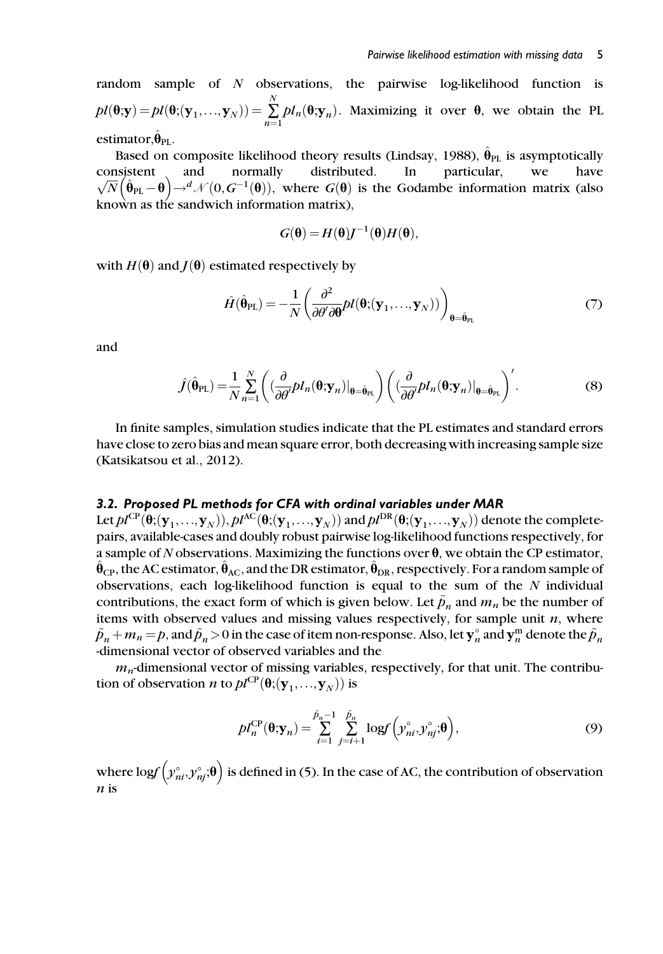random sample of N observations, the pairwise log-likelihood function is  $pl(\mathbf{\theta}; \mathbf{y}) = pl(\mathbf{\theta}; (\mathbf{y}_1, ..., \mathbf{y}_N)) = \sum_{n=1}^N$  $\sum_{n=1} D l_n(\theta; \mathbf{y}_n)$ . Maximizing it over  $\theta$ , we obtain the PL estimator, $\ddot{\theta}_{\text{PI}}$ .

Based on composite likelihood theory results (Lindsay, 1988),  $\hat{\theta}_{PL}$  is asymptotically consistent and normally distributed. In particular, we have  $\sqrt{N} (\hat{\theta}_{PL} - \theta) \rightarrow d \mathcal{N}(0, G^{-1}(\theta))$ , where  $G(\theta)$  is the Godambe information matrix (also known as the sandwich information matrix),

$$
G(\mathbf{\Theta}) = H(\mathbf{\Theta})J^{-1}(\mathbf{\Theta})H(\mathbf{\Theta}),
$$

with  $H(\theta)$  and  $J(\theta)$  estimated respectively by

$$
\hat{H}(\hat{\theta}_{PL}) = -\frac{1}{N} \left( \frac{\partial^2}{\partial \theta' \partial \theta} pl(\theta; (\mathbf{y}_1, \dots, \mathbf{y}_N)) \right)_{\theta = \hat{\theta}_{PL}} \tag{7}
$$

and

$$
\hat{J}(\hat{\theta}_{\mathrm{PL}}) = \frac{1}{N} \sum_{n=1}^{N} \left( \left( \frac{\partial}{\partial \theta'} p I_n(\theta; \mathbf{y}_n) \big|_{\theta = \hat{\theta}_{\mathrm{PL}}} \right) \left( \left( \frac{\partial}{\partial \theta'} p I_n(\theta; \mathbf{y}_n) \big|_{\theta = \hat{\theta}_{\mathrm{PL}}} \right)' \right).
$$
(8)

In finite samples, simulation studies indicate that the PL estimates and standard errors have close to zero bias and mean square error, both decreasing with increasing sample size (Katsikatsou et al., 2012).

#### 3.2. Proposed PL methods for CFA with ordinal variables under MAR

Let  $pl^{CP}(\theta; (\mathbf{y}_1,...,\mathbf{y}_N)), pl^{AC}(\theta; (\mathbf{y}_1,...,\mathbf{y}_N))$  and  $pl^{DR}(\theta; (\mathbf{y}_1,...,\mathbf{y}_N))$  denote the completepairs, available-cases and doubly robust pairwise log-likelihood functions respectively, for a sample of N observations. Maximizing the functions over  $\theta$ , we obtain the CP estimator,  $\hat{\theta}_{CP}$ , the AC estimator,  $\hat{\theta}_{AC}$ , and the DR estimator,  $\hat{\theta}_{DR}$ , respectively. For a random sample of observations, each log-likelihood function is equal to the sum of the  $N$  individual contributions, the exact form of which is given below. Let  $\tilde{p}_n$  and  $m_n$  be the number of items with observed values and missing values respectively, for sample unit  $n$ , where  $\tilde{p}_n + m_n = p$ , and  $\tilde{p}_n > 0$  in the case of item non-response. Also, let  $\mathbf{y}_n^{\circ}$  and  $\mathbf{y}_n^{\text{m}}$  denote the  $\tilde{p}_n$ <br>-dimensional vector of observed variables and the -dimensional vector of observed variables and the

 $m_n$ -dimensional vector of missing variables, respectively, for that unit. The contribution of observation *n* to  $pl^{CP}(\theta; (\mathbf{y}_1, ..., \mathbf{y}_N))$  is

$$
pl_n^{\text{CP}}(\boldsymbol{\theta}; \mathbf{y}_n) = \sum_{i=1}^{\tilde{p}_n-1} \sum_{j=i+1}^{\tilde{p}_n} \log f\left(\tilde{y}_{ni}^{\circ}, \tilde{y}_{nj}^{\circ}; \boldsymbol{\theta}\right),\tag{9}
$$

where log $f\left( y^{\circ}_{ni},y^{\circ}_{nj};\boldsymbol{\theta}\right)$  is defined in (5). In the case of AC, the contribution of observation  $n$  is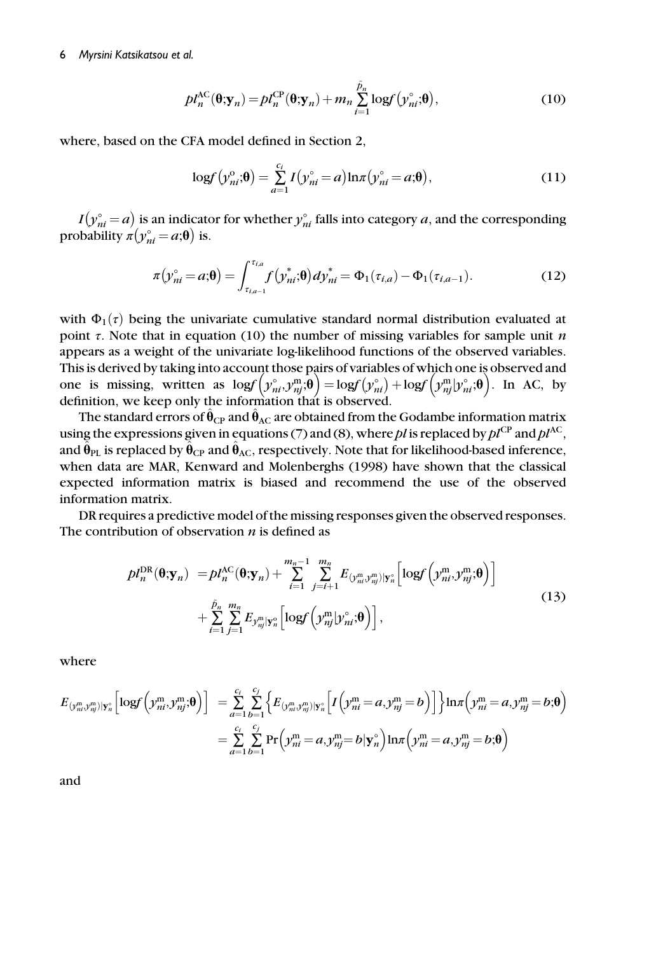$$
pl_n^{\text{AC}}(\boldsymbol{\theta}; \mathbf{y}_n) = pl_n^{\text{CP}}(\boldsymbol{\theta}; \mathbf{y}_n) + m_n \sum_{i=1}^{\tilde{p}_n} \log f(\mathbf{y}_{ni}^{\circ}; \boldsymbol{\theta}),
$$
(10)

where, based on the CFA model defined in Section 2,

$$
\log f(y_{ni}^{\circ}; \theta) = \sum_{a=1}^{c_i} I(y_{ni}^{\circ} = a) \ln \pi (y_{ni}^{\circ} = a; \theta), \qquad (11)
$$

 $I(y_{ni}^{\circ}=a)$  is an indicator for whether  $y_{ni}^{\circ}$  falls into category a, and the corresponding probability  $\pi(y_{ni}^{\circ} = a;\theta)$  is.

$$
\pi(y_{ni}^{\circ} = a;\pmb{\theta}) = \int_{\tau_{i,a-1}}^{\tau_{i,a}} f(y_{ni}^*;\pmb{\theta}) dy_{ni}^* = \Phi_1(\tau_{i,a}) - \Phi_1(\tau_{i,a-1}).
$$
\n(12)

with  $\Phi_1(\tau)$  being the univariate cumulative standard normal distribution evaluated at point  $\tau$ . Note that in equation (10) the number of missing variables for sample unit n appears as a weight of the univariate log-likelihood functions of the observed variables. This is derived by taking into account those pairs of variables of which one is observed and one is missing, written as  $\log(\hat{y}_{ni}^{\circ}, y_{nj}^{\text{m}};\theta) = \log(\hat{y}_{ni}^{\circ}) + \log(\hat{y}_{nj}^{\text{m}}|\hat{y}_{ni}^{\circ};\theta)$ . In AC, by definition, we keep only the information that is observed.

The standard errors of  $\hat{\theta}_{CP}$  and  $\hat{\theta}_{AC}$  are obtained from the Godambe information matrix using the expressions given in equations (7) and (8), where pl is replaced by  $pl^{\text{CP}}$  and  $pl^{\text{AC}}$ , and  $\hat{\theta}_{PL}$  is replaced by  $\hat{\theta}_{CP}$  and  $\hat{\theta}_{AC}$ , respectively. Note that for likelihood-based inference, when data are MAR, Kenward and Molenberghs (1998) have shown that the classical expected information matrix is biased and recommend the use of the observed information matrix.

DR requires a predictive model of the missing responses given the observed responses. The contribution of observation  $n$  is defined as

$$
pl_n^{\text{DR}}(\boldsymbol{\theta}; \mathbf{y}_n) = pl_n^{\text{AC}}(\boldsymbol{\theta}; \mathbf{y}_n) + \sum_{i=1}^{m_n-1} \sum_{j=i+1}^{m_n} E_{(y_m^m y_m^m) | \mathbf{y}_n^{\circ}} \left[ \log f \left( y_m^m, y_{nj}^m; \boldsymbol{\theta} \right) \right] + \sum_{i=1}^{\tilde{p}_n} \sum_{j=1}^{m_n} E_{y_m^m | \mathbf{y}_n^{\circ}} \left[ \log f \left( y_{nj}^m | y_{ni}^{\circ}; \boldsymbol{\theta} \right) \right],
$$
\n(13)

where

$$
E_{(y_m^m, y_m^m)|\mathbf{y}_n^{\circ}}\Big[logf\Big(y_m^m, y_{nj}^m;\boldsymbol{\theta}\Big)\Big] = \sum_{a=1}^{c_i} \sum_{b=1}^{c_j} \Big\{ E_{(y_m^m, y_{nj}^m)|\mathbf{y}_n^{\circ}}\Big[ I\Big(y_{ni}^m = a, y_{nj}^m = b \Big) \Big] \Big\} ln \pi \Big( y_{ni}^m = a, y_{nj}^m = b; \boldsymbol{\theta} \Big)
$$
  

$$
= \sum_{a=1}^{c_i} \sum_{b=1}^{c_j} Pr\Big( y_{ni}^m = a, y_{nj}^m = b | \mathbf{y}_n^{\circ} \Big) ln \pi \Big( y_{ni}^m = a, y_{nj}^m = b; \boldsymbol{\theta} \Big)
$$

and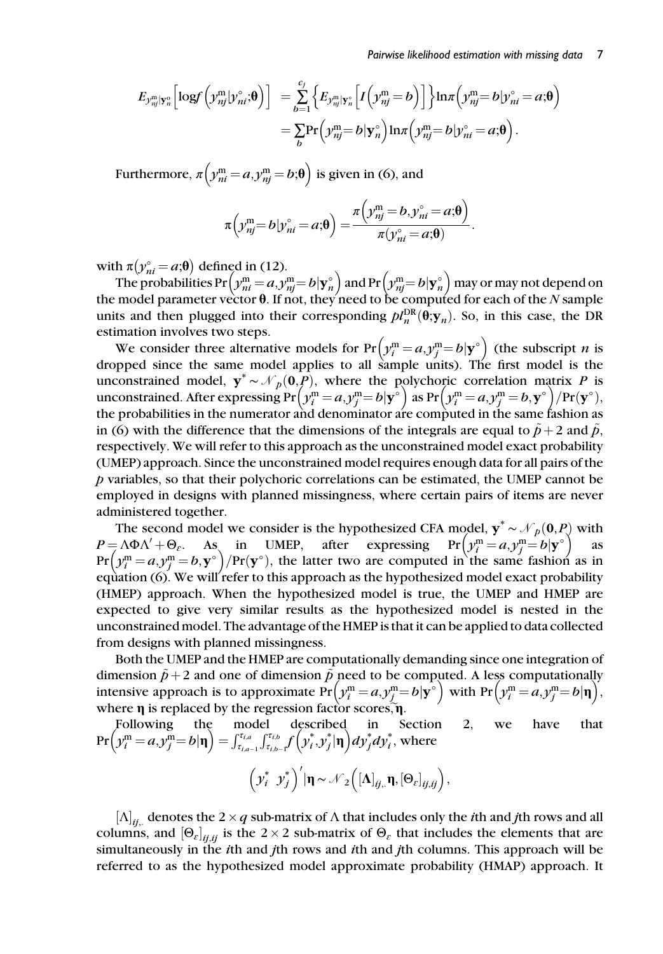#### Pairwise likelihood estimation with missing data 7

$$
E_{\mathcal{Y}_{\eta_{ij}}^m|\mathbf{y}_{n}^{\circ}}\left[\log f\left(\mathcal{Y}_{\eta_{j}}^m|\mathcal{Y}_{ni}^{\circ};\boldsymbol{\theta}\right)\right] = \sum_{b=1}^{c_{j}}\left\{E_{\mathcal{Y}_{\eta_{j}}^m|\mathbf{y}_{n}^{\circ}}\left[I\left(\mathcal{Y}_{\eta_{j}}^m = b\right)\right]\right\}\ln \pi \left(\mathcal{Y}_{\eta_{j}}^m = b|\mathcal{Y}_{\eta_{i}}^{\circ} = a;\boldsymbol{\theta}\right)
$$

$$
= \sum_{b}\Pr\left(\mathcal{Y}_{\eta_{j}}^m = b|\mathbf{y}_{n}^{\circ}\right)\ln \pi \left(\mathcal{Y}_{\eta_{j}}^m = b|\mathcal{Y}_{\eta_{i}}^{\circ} = a;\boldsymbol{\theta}\right).
$$

Furthermore,  $\pi \Big( \mathcal{y}_{ni}^\text{m} \! = \! a,\! \mathcal{y}_{nj}^\text{m} \! = \! b;\! \boldsymbol{\uptheta} \Big)$  is given in (6), and

$$
\pi\left(\mathcal{Y}_{nj}^{\mathsf{m}}=b|\mathcal{Y}_{ni}^{\circ}=a;\boldsymbol{\theta}\right)=\frac{\pi\left(\mathcal{Y}_{nj}^{\mathsf{m}}=b,\mathcal{Y}_{ni}^{\circ}=a;\boldsymbol{\theta}\right)}{\pi(\mathcal{Y}_{ni}^{\circ}=a;\boldsymbol{\theta})}.
$$

with  $\pi(y_{ni}^{\circ} = a;\theta)$  defined in (12).

The probabilities Pr  $\left(y_m^m = a, y_m^m = b | y_n^{\circ}\right)$  and Pr  $\left(y_m^m = b | y_n^{\circ}\right)$  may or may not depend on model parameter vector  $\theta$ . If not they need to be computed for each of the N sample the model parameter vector  $\bm{\theta}$ . If not, they'need to be computed for each of the  $N$  sample units and then plugged into their corresponding  $pl_n^{DR}(\theta; \mathbf{y}_n)$ . So, in this case, the DR estimation involves two steps estimation involves two steps.

We consider three alternative models for  $Pr(y_i^m = a, y_j^m = b | \mathbf{y}^{\circ})$  (the subscript *n* is<br>noted since the same model applies to all sample units). The first model is the dropped since the same model applies to all sample units). The first model is the unconstrained model,  $y^* \sim \mathcal{N}_p(0, P)$ , where the polychoric correlation matrix P is unconstrained. After expressing  $Pr(y_i^m = a, y_j^m = b | \mathbf{y}^{\circ})$  as  $Pr(y_i^m = a, y_j^m = b, \mathbf{y}^{\circ}) / Pr(\mathbf{y}^{\circ})$ ,<br>the probabilities in the numerator and denominator are computed in the same fashion as the probabilities in the numerator and denominator are computed in the same fashion as in (6) with the difference that the dimensions of the integrals are equal to  $\tilde{p}+2$  and  $\tilde{p}$ , respectively. We will refer to this approach as the unconstrained model exact probability (UMEP) approach. Since the unconstrained model requires enough data for all pairs of the p variables, so that their polychoric correlations can be estimated, the UMEP cannot be employed in designs with planned missingness, where certain pairs of items are never administered together.

The second model we consider is the hypothesized CFA model,  $y^* \sim \mathcal{N}_p(0, P)$  with  $=\Lambda \Phi \Lambda' + \Theta_s$ . As in UMEP, after expressing  $Pr(\gamma_i^m = a, \gamma_i^m = b | \mathbf{v}^{\circ})$  as  $P = \Lambda \Phi \Lambda' + \Theta_{\varepsilon}$ . As in UMEP, after expressing  $Pr(y_i^m = a, y_j^m = b | y^{\circ})$  as<br>  $Pr(y_i^m = a, y_i^m = b | y^{\circ})$  / $Pr(y^{\circ})$  the latter two are computed in the same fashion as in Pr  $\left(y_i^m = a, y_j^m = b, y^{\circ}\right)$  /Pr(y°), the latter two are computed in the same fashion as in equation (6). We will refer to this approach as the hypothesized model exact probability equation (6). We will refer to this approach as the hypothesized model exact probability (HMEP) approach. When the hypothesized model is true, the UMEP and HMEP are expected to give very similar results as the hypothesized model is nested in the unconstrained model. The advantage of the HMEP is that it can be applied to data collected from designs with planned missingness.

Both the UMEP and the HMEP are computationally demanding since one integration of dimension  $\tilde{p}+2$  and one of dimension  $\tilde{p}$  need to be computed. A less computationally intensive approach is to approximate  $Pr(y_i^m = a, y_j^m = b | \mathbf{y}^{\circ})$  with  $Pr(y_i^m = a, y_j^m = b | \mathbf{\eta})$ ,<br>where **n** is replaced by the regression factor scores  $\mathbf{\tilde{n}}$ where  $\eta$  is replaced by the regression factor scores, $\tilde{\eta}$ .

Following the model described in Section 2, we have that Pr  $\left(y_i^{\text{m}} = a, y_j^{\text{m}} = b | \mathbf{\eta} \right) = \int_{\tau_{i,a-1}}^{\tau_{i,a}} \int_{\tau_{i,b-1}}^{\tau_{i,b}} f\left(y_i^*, y_j^* | \mathbf{\eta} \right) dy_j^* dy_i^*$ , where

$$
\left(\mathbf{y}_{i}^{*} \ \mathbf{y}_{j}^{*}\right)'|\mathbf{\eta} \sim \mathcal{N}_{2}\left(\left[\mathbf{\Lambda}\right]_{ij}, \mathbf{\eta}, \left[\boldsymbol{\Theta}_{\varepsilon}\right]_{ij,ij}\right),\
$$

 $[\Lambda]_{ii}$  denotes the 2 × q sub-matrix of  $\Lambda$  that includes only the *i*th and jth rows and all columns, and  $[\Theta_{\varepsilon}]_{ii,ii}$  is the 2 × 2 sub-matrix of  $\Theta_{\varepsilon}$  that includes the elements that are simultaneously in the ith and jth rows and ith and jth columns. This approach will be referred to as the hypothesized model approximate probability (HMAP) approach. It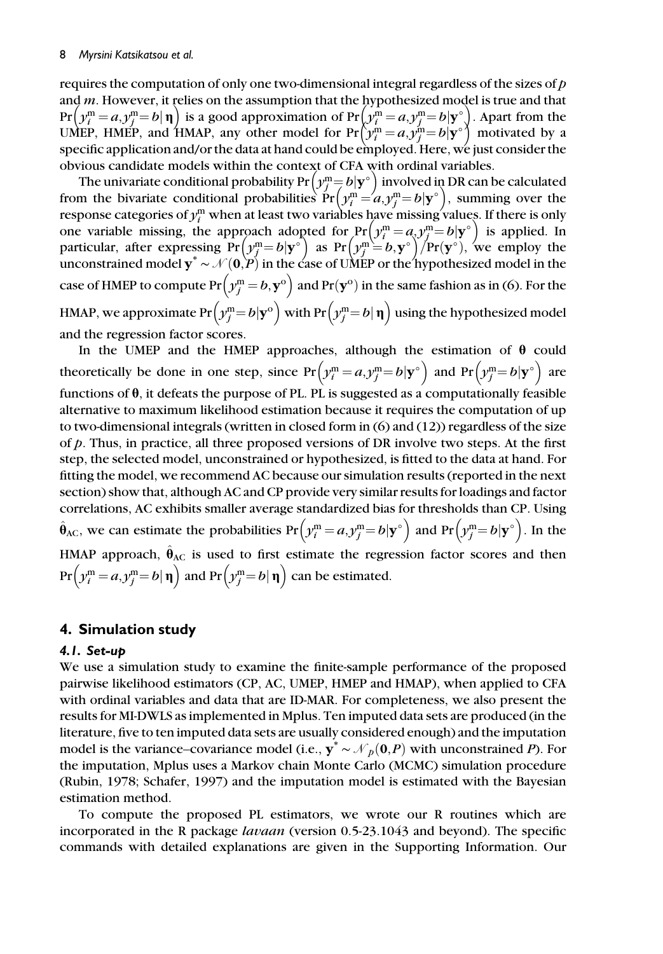#### 8 Myrsini Katsikatsou et al.

requires the computation of only one two-dimensional integral regardless of the sizes of  $p$ and m. However, it relies on the assumption that the hypothesized model is true and that  $Pr(y_i^m = a, y_j^m = b | \mathbf{\eta})$  is a good approximation of  $Pr(y_i^m = a, y_j^m = b | \mathbf{y}^{\circ})$ . Apart from the line HMFP and HMAP any other model for  $Pr(y_i^m = a, y_j^m = b | \mathbf{y}^{\circ})$  motivated by a UMEP, HMEP, and HMAP, any other model for  $Pr(y_i^m = a, y_j^m = b | \mathbf{y}^{\circ})$  motivated by a<br>specific application and/or the data at hand could be employed. Here we just consider the specific application and/or the data at hand could be employed. Here, we just consider the obvious candidate models within the context of CFA with ordinal variables.

The univariate conditional probability  $Pr(y_j^m = b | y^{\circ})$  involved in DR can be calculated<br>m the bivariate conditional probabilities  $Pr(y_j^m = a y^m = b | y^{\circ})$  summing over the from the bivariate conditional probabilities  $Pr(y_j^m = a, y_j^m = b | \mathbf{y}^{\circ})$ , summing over the response categories of  $y_i^m$  when at least two variables have missing values. If there is only response categories of  $y_i^{\text{m}}$  when at least two variables have missing values. If there is only one variable missing, the approach adopted for  $Pr(y_i^m = a, y_j^m = b | \mathbf{y}^{\circ})$  is applied. In<br>particular, after expressing  $Pr(y_i^m - b | \mathbf{y}^{\circ})$  as  $Pr(y_i^m - b | \mathbf{y}^{\circ}) / Pr(\mathbf{y}^{\circ})$  we employ the particular, after expressing Pr  $\left(y_i^m = b | \mathbf{y}^\circ \right)$  as Pr  $\left(y_j^m = b, \mathbf{y}^\circ \right)$  /Pr $(\mathbf{y}^\circ)$ , we employ the unconstrained model  $y^* \sim \mathcal{N}(0, P)$  in the case of UMEP or the hypothesized model in the case of HMEP to compute  $Pr(y_j^m = b, y^o)$  and  $Pr(y^o)$  in the same fashion as in (6). For the HMAP, we approximate  $Pr(y_j^m = b | \mathbf{y}^{\text{o}})$  with  $Pr(y_j^m = b | \mathbf{\eta})$  using the hypothesized model and the regression factor scores.

In the UMEP and the HMEP approaches, although the estimation of  $\theta$  could theoretically be done in one step, since  $Pr(y_i^m = a, y_j^m = b | \mathbf{y}^\circ)$  and  $Pr(y_j^m = b | \mathbf{y}^\circ)$  are functions of  $\theta$ , it defeats the purpose of PL. PL is suggested as a computationally feasible alternative to maximum likelihood estimation because it requires the computation of up to two-dimensional integrals (written in closed form in (6) and (12)) regardless of the size of  $p$ . Thus, in practice, all three proposed versions of DR involve two steps. At the first step, the selected model, unconstrained or hypothesized, is fitted to the data at hand. For fitting the model, we recommend AC because our simulation results (reported in the next section) show that, although AC and CP provide very similar results for loadings and factor correlations, AC exhibits smaller average standardized bias for thresholds than CP. Using  $\hat{\theta}_{AC}$ , we can estimate the probabilities  $Pr(y_i^m = a, y_j^m = b | \mathbf{y}^{\circ})$  and  $Pr(y_j^m = b | \mathbf{y}^{\circ})$ . In the HMAP approach,  $\hat{\theta}_{AC}$  is used to first estimate the regression factor scores and then  $\Pr\left( \mathcal{Y}_i^\text{m}=a, \mathcal{Y}_j^\text{m}=b|\:\boldsymbol{\eta} \right)$  and  $\Pr\left( \mathcal{Y}_j^\text{m}=b|\:\boldsymbol{\eta} \right)$  can be estimated.

# 4. Simulation study

## 4.1. Set-up

We use a simulation study to examine the finite-sample performance of the proposed pairwise likelihood estimators (CP, AC, UMEP, HMEP and HMAP), when applied to CFA with ordinal variables and data that are ID-MAR. For completeness, we also present the results for MI-DWLS as implemented in Mplus. Ten imputed data sets are produced (in the literature, five to ten imputed data sets are usually considered enough) and the imputation model is the variance–covariance model (i.e.,  $y^* \sim \mathcal{N}_p(\mathbf{0},P)$  with unconstrained P). For the imputation, Mplus uses a Markov chain Monte Carlo (MCMC) simulation procedure (Rubin, 1978; Schafer, 1997) and the imputation model is estimated with the Bayesian estimation method.

To compute the proposed PL estimators, we wrote our R routines which are incorporated in the R package *lavaan* (version 0.5-23.1043 and beyond). The specific commands with detailed explanations are given in the Supporting Information. Our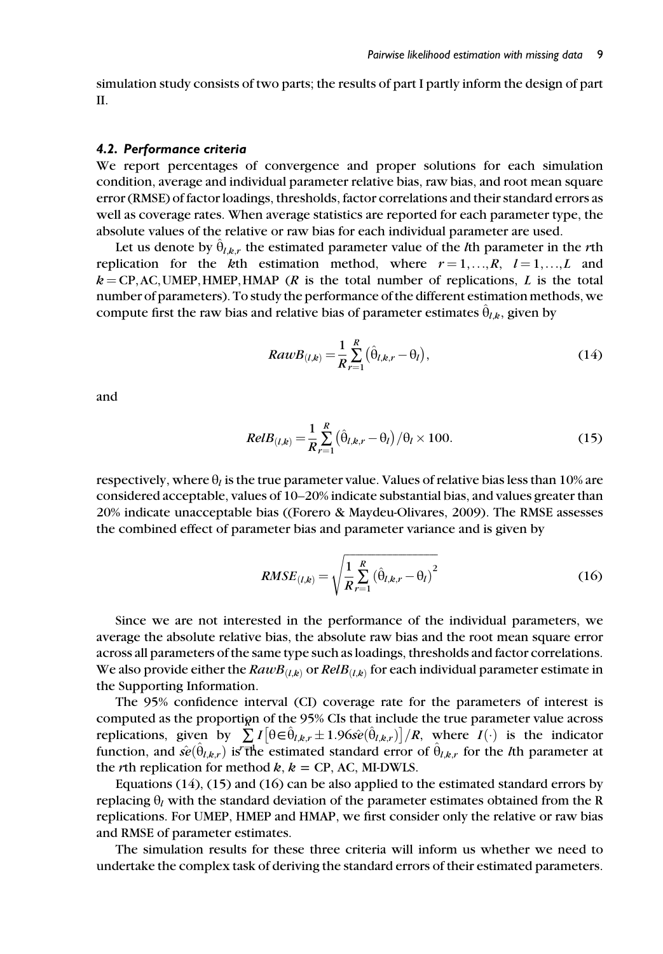simulation study consists of two parts; the results of part I partly inform the design of part II.

#### 4.2. Performance criteria

We report percentages of convergence and proper solutions for each simulation condition, average and individual parameter relative bias, raw bias, and root mean square error (RMSE) of factor loadings, thresholds, factor correlations and their standard errors as well as coverage rates. When average statistics are reported for each parameter type, the absolute values of the relative or raw bias for each individual parameter are used.

Let us denote by  $\theta_{l,k,r}$  the estimated parameter value of the *l*th parameter in the *r*th replication for the kth estimation method, where  $r = 1, \ldots, R, l = 1, \ldots, L$  and  $k = CP, AC, UMEP, HMEP, HMAP (R is the total number of replications, L is the total$ number of parameters). To study the performance of the different estimation methods, we compute first the raw bias and relative bias of parameter estimates  $\hat{\theta}_{lk}$ , given by

$$
RawB_{(l,k)} = \frac{1}{R} \sum_{r=1}^{R} (\hat{\theta}_{l,k,r} - \theta_l),
$$
\n(14)

and

$$
RelB_{(l,k)} = \frac{1}{R} \sum_{r=1}^{R} (\hat{\theta}_{l,k,r} - \theta_l) / \theta_l \times 100.
$$
 (15)

respectively, where  $\theta_l$  is the true parameter value. Values of relative bias less than 10% are considered acceptable, values of 10–20% indicate substantial bias, and values greater than 20% indicate unacceptable bias ((Forero & Maydeu-Olivares, 2009). The RMSE assesses the combined effect of parameter bias and parameter variance and is given by

$$
RMSE_{(l,k)} = \sqrt{\frac{1}{R} \sum_{r=1}^{R} (\hat{\theta}_{l,k,r} - \theta_l)^2}
$$
 (16)

Since we are not interested in the performance of the individual parameters, we average the absolute relative bias, the absolute raw bias and the root mean square error across all parameters of the same type such as loadings, thresholds and factor correlations. We also provide either the  $RawB_{(l,k)}$  or  $RelB_{(l,k)}$  for each individual parameter estimate in the Supporting Information.

The 95% confidence interval (CI) coverage rate for the parameters of interest is computed as the proportion of the  $95\%$  CIs that include the true parameter value across replications, given by  $\sum_{i=1}^{n} I\left[\theta \in \hat{\theta}_{l,k,r} \pm 1.96s\hat{e}(\hat{\theta}_{l,k,r})\right] / R$ , where  $I(\cdot)$  is the indicator function, and  $\hat{se}(\hat{\theta}_{l,k,r})$  is the estimated standard error of  $\hat{\theta}_{l,k,r}$  for the *l*th parameter at the *r*th replication for method  $k$ ,  $k = CP$ , AC, MI-DWLS.

Equations  $(14)$ ,  $(15)$  and  $(16)$  can be also applied to the estimated standard errors by replacing  $\theta_l$  with the standard deviation of the parameter estimates obtained from the R replications. For UMEP, HMEP and HMAP, we first consider only the relative or raw bias and RMSE of parameter estimates.

The simulation results for these three criteria will inform us whether we need to undertake the complex task of deriving the standard errors of their estimated parameters.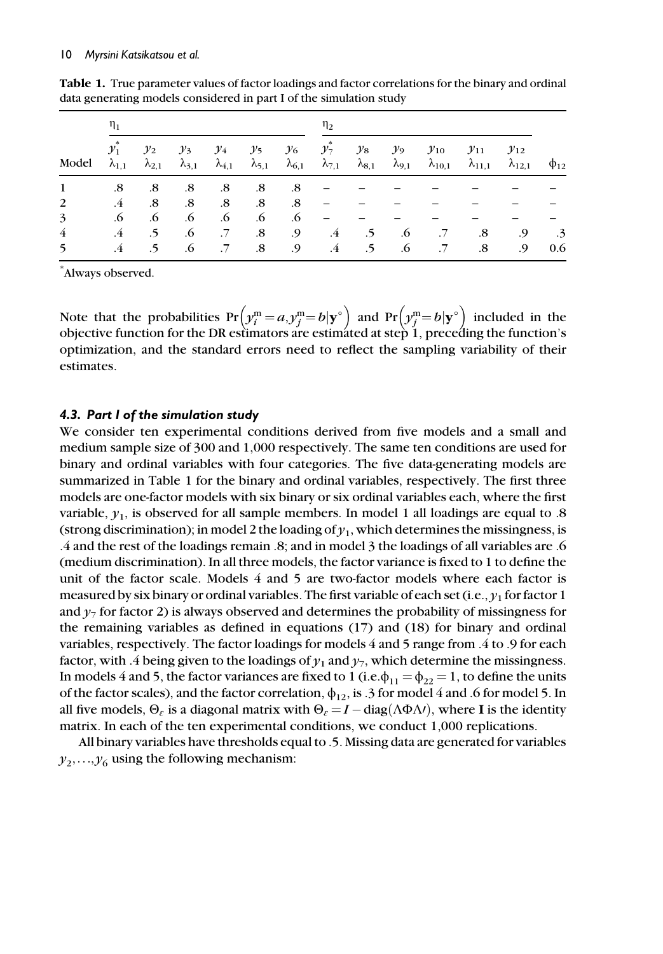| Model | $\eta_1$                 |                          |                          |        |                                                          | $\eta_2$        |                          |                          |                          |                              |                              |                              |             |
|-------|--------------------------|--------------------------|--------------------------|--------|----------------------------------------------------------|-----------------|--------------------------|--------------------------|--------------------------|------------------------------|------------------------------|------------------------------|-------------|
|       | $y_1$<br>$\lambda_{1.1}$ | $y_2$<br>$\lambda_{2,1}$ | $y_3$<br>$\lambda_{3,1}$ | $y_4$  | $y_5$<br>$\lambda_{4,1}$ $\lambda_{5,1}$ $\lambda_{6,1}$ | $\mathcal{Y}_6$ | $y_7$<br>$\lambda_{7,1}$ | $y_8$<br>$\lambda_{8,1}$ | $y_9$<br>$\lambda_{9,1}$ | $y_{10}$<br>$\lambda_{10,1}$ | $y_{11}$<br>$\lambda_{11,1}$ | $y_{12}$<br>$\lambda_{12,1}$ | $\Phi_{12}$ |
|       | .8                       | .8                       | $.8\,$                   | .8     | $.8\,$                                                   | .8              |                          |                          |                          |                              |                              |                              |             |
| 2     | $\cdot$ 4                | .8                       | .8                       | .8     | $.8\,$                                                   | .8              |                          |                          |                          |                              |                              |                              |             |
| 3     | .6                       | .6                       | .6                       | .6     | .6                                                       | .6              |                          |                          |                          |                              |                              |                              |             |
| 4     | .4                       | .5                       | .6                       | $.7\,$ | $.8\,$                                                   | .9              | $\cdot$ 4                | $\cdot$ 5                | .6                       | $.7\,$                       | .8                           | .9                           | .3          |
| 5     | .4                       | .5                       | $.6\phantom{0}$          | $.7\,$ | $\boldsymbol{.8}$                                        | .9              | $\cdot$ 4                | $.5\phantom{0}$          | .6                       | $.7\,$                       | .8                           | .9                           | 0.6         |

Table 1. True parameter values of factor loadings and factor correlations for the binary and ordinal data generating models considered in part I of the simulation study

\* Always observed.

Note that the probabilities  $Pr(y_i^m = a, y_j^m = b | \mathbf{y}^{\circ})$  and  $Pr(y_j^m = b | \mathbf{y}^{\circ})$  included in the objective function for the DR estimators are estimated at step 1, preceding the function's objective function for the DR estimators are estimated at step 1, preceding the function's optimization, and the standard errors need to reflect the sampling variability of their estimates.

## 4.3. Part I of the simulation study

We consider ten experimental conditions derived from five models and a small and medium sample size of 300 and 1,000 respectively. The same ten conditions are used for binary and ordinal variables with four categories. The five data-generating models are summarized in Table 1 for the binary and ordinal variables, respectively. The first three models are one-factor models with six binary or six ordinal variables each, where the first variable,  $y_1$ , is observed for all sample members. In model 1 all loadings are equal to .8 (strong discrimination); in model 2 the loading of  $y_1$ , which determines the missingness, is .4 and the rest of the loadings remain .8; and in model 3 the loadings of all variables are .6 (medium discrimination). In all three models, the factor variance is fixed to 1 to define the unit of the factor scale. Models 4 and 5 are two-factor models where each factor is measured by six binary or ordinal variables. The first variable of each set (i.e.,  $\gamma_1$  for factor 1 and  $\gamma_7$  for factor 2) is always observed and determines the probability of missingness for the remaining variables as defined in equations (17) and (18) for binary and ordinal variables, respectively. The factor loadings for models 4 and 5 range from .4 to .9 for each factor, with .4 being given to the loadings of  $\gamma_1$  and  $\gamma_7$ , which determine the missingness. In models 4 and 5, the factor variances are fixed to 1 (i.e. $\phi_{11} = \phi_{22} = 1$ , to define the units of the factor scales), and the factor correlation,  $\phi_{12}$ , is .3 for model 4 and .6 for model 5. In all five models,  $\Theta_{\varepsilon}$  is a diagonal matrix with  $\Theta_{\varepsilon} = I - \text{diag}(\Lambda \Phi \Lambda t)$ , where I is the identity matrix. In each of the ten experimental conditions, we conduct 1,000 replications matrix. In each of the ten experimental conditions, we conduct 1,000 replications.

All binary variables have thresholds equal to .5. Missing data are generated for variables  $y_2,...,y_6$  using the following mechanism: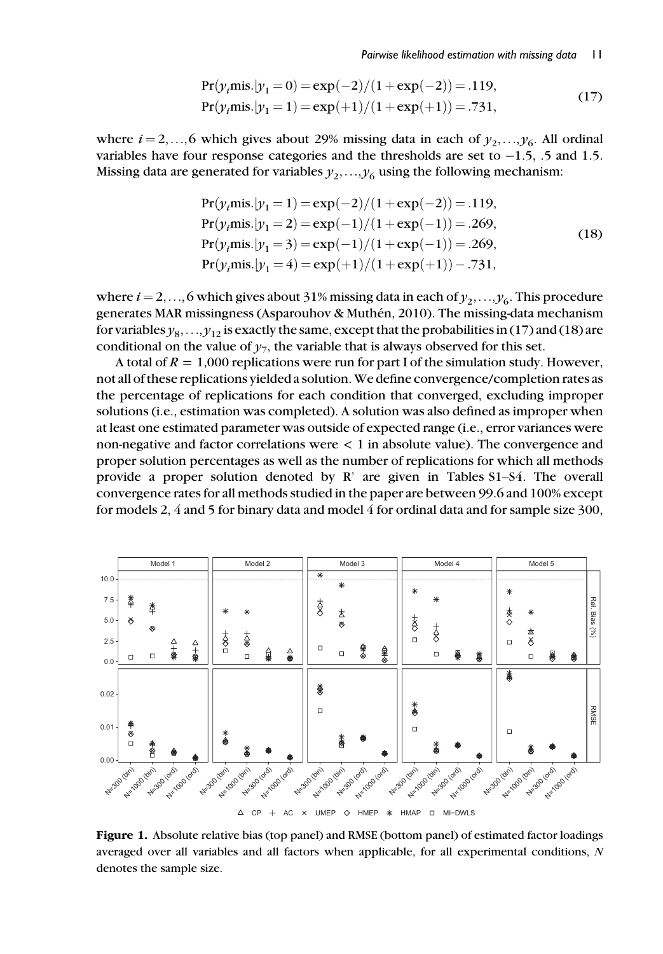$$
Pr(yimis.|y1 = 0) = exp(-2)/(1 + exp(-2)) = .119,
$$
  
\n
$$
Pr(yimis.|y1 = 1) = exp(+1)/(1 + exp(+1)) = .731,
$$
\n(17)

where  $i = 2,...,6$  which gives about 29% missing data in each of  $y_2,...,y_6$ . All ordinal variables have four response categories and the thresholds are set to −1.5, .5 and 1.5. Missing data are generated for variables  $y_2, \ldots, y_6$  using the following mechanism:

$$
Pr(yimis.|y1 = 1) = exp(-2)/(1+exp(-2)) = .119,
$$
  
\n
$$
Pr(yimis.|y1 = 2) = exp(-1)/(1+exp(-1)) = .269,
$$
  
\n
$$
Pr(yimis.|y1 = 3) = exp(-1)/(1+exp(-1)) = .269,
$$
  
\n
$$
Pr(yimis.|y1 = 4) = exp(+1)/(1+exp(+1)) - .731,
$$
 (18)

where  $i = 2,...,6$  which gives about 31% missing data in each of  $y_1,...,y_6$ . This procedure generates MAR missingness (Asparouhov & Muthén, 2010). The missing-data mechanism for variables  $y_8, \ldots, y_{12}$  is exactly the same, except that the probabilities in (17) and (18) are conditional on the value of  $y_7$ , the variable that is always observed for this set.

A total of  $R = 1,000$  replications were run for part I of the simulation study. However, not all of these replications yielded a solution. We define convergence/completion rates as the percentage of replications for each condition that converged, excluding improper solutions (i.e., estimation was completed). A solution was also defined as improper when at least one estimated parameter was outside of expected range (i.e., error variances were non-negative and factor correlations were < 1 in absolute value). The convergence and proper solution percentages as well as the number of replications for which all methods provide a proper solution denoted by R' are given in Tables S1–S4. The overall convergence rates for all methods studied in the paper are between 99.6 and 100% except for models 2, 4 and 5 for binary data and model 4 for ordinal data and for sample size 300,



Figure 1. Absolute relative bias (top panel) and RMSE (bottom panel) of estimated factor loadings averaged over all variables and all factors when applicable, for all experimental conditions, N denotes the sample size.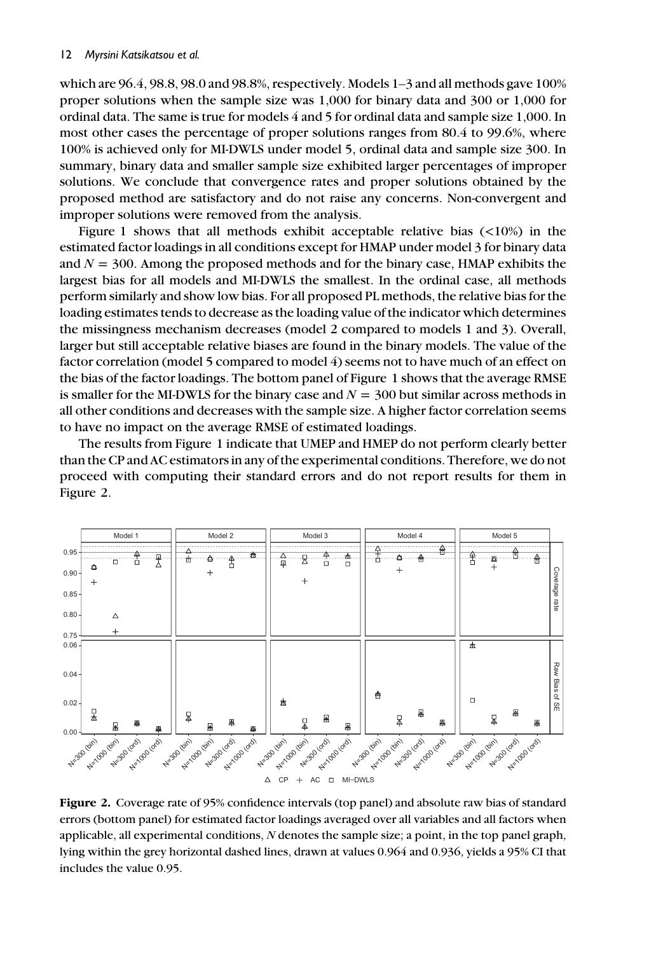which are 96.4, 98.8, 98.0 and 98.8%, respectively. Models 1–3 and all methods gave 100% proper solutions when the sample size was 1,000 for binary data and 300 or 1,000 for ordinal data. The same is true for models 4 and 5 for ordinal data and sample size 1,000. In most other cases the percentage of proper solutions ranges from 80.4 to 99.6%, where 100% is achieved only for MI-DWLS under model 5, ordinal data and sample size 300. In summary, binary data and smaller sample size exhibited larger percentages of improper solutions. We conclude that convergence rates and proper solutions obtained by the proposed method are satisfactory and do not raise any concerns. Non-convergent and improper solutions were removed from the analysis.

Figure 1 shows that all methods exhibit acceptable relative bias  $\left($ <10%) in the estimated factor loadings in all conditions except for HMAP under model 3 for binary data and  $N = 300$ . Among the proposed methods and for the binary case, HMAP exhibits the largest bias for all models and MI-DWLS the smallest. In the ordinal case, all methods perform similarly and show low bias. For all proposed PL methods, the relative bias for the loading estimates tends to decrease as the loading value of the indicator which determines the missingness mechanism decreases (model 2 compared to models 1 and 3). Overall, larger but still acceptable relative biases are found in the binary models. The value of the factor correlation (model 5 compared to model 4) seems not to have much of an effect on the bias of the factor loadings. The bottom panel of Figure 1 shows that the average RMSE is smaller for the MI-DWLS for the binary case and  $N = 300$  but similar across methods in all other conditions and decreases with the sample size. A higher factor correlation seems to have no impact on the average RMSE of estimated loadings.

The results from Figure 1 indicate that UMEP and HMEP do not perform clearly better than the CP and AC estimators in any of the experimental conditions. Therefore, we do not proceed with computing their standard errors and do not report results for them in Figure 2.



Figure 2. Coverage rate of 95% confidence intervals (top panel) and absolute raw bias of standard errors (bottom panel) for estimated factor loadings averaged over all variables and all factors when applicable, all experimental conditions,  $N$  denotes the sample size; a point, in the top panel graph, lying within the grey horizontal dashed lines, drawn at values 0.964 and 0.936, yields a 95% CI that includes the value 0.95.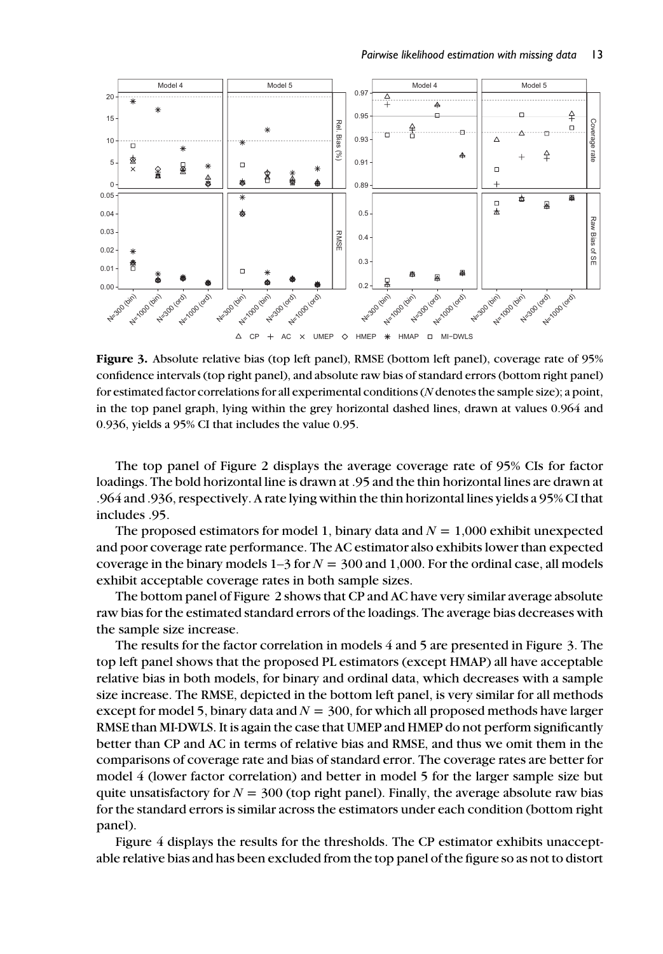

Figure 3. Absolute relative bias (top left panel), RMSE (bottom left panel), coverage rate of 95% confidence intervals (top right panel), and absolute raw bias of standard errors (bottom right panel) for estimated factor correlations for all experimental conditions (N denotes the sample size); a point, in the top panel graph, lying within the grey horizontal dashed lines, drawn at values 0.964 and 0.936, yields a 95% CI that includes the value 0.95.

The top panel of Figure 2 displays the average coverage rate of 95% CIs for factor loadings. The bold horizontal line is drawn at .95 and the thin horizontal lines are drawn at .964 and .936, respectively. A rate lying within the thin horizontal lines yields a 95% CI that includes .95.

The proposed estimators for model 1, binary data and  $N = 1,000$  exhibit unexpected and poor coverage rate performance. The AC estimator also exhibits lower than expected coverage in the binary models  $1-3$  for  $N = 300$  and 1,000. For the ordinal case, all models exhibit acceptable coverage rates in both sample sizes.

The bottom panel of Figure 2 shows that CP and AC have very similar average absolute raw bias for the estimated standard errors of the loadings. The average bias decreases with the sample size increase.

The results for the factor correlation in models 4 and 5 are presented in Figure 3. The top left panel shows that the proposed PL estimators (except HMAP) all have acceptable relative bias in both models, for binary and ordinal data, which decreases with a sample size increase. The RMSE, depicted in the bottom left panel, is very similar for all methods except for model 5, binary data and  $N = 300$ , for which all proposed methods have larger RMSE than MI-DWLS. It is again the case that UMEP and HMEP do not perform significantly better than CP and AC in terms of relative bias and RMSE, and thus we omit them in the comparisons of coverage rate and bias of standard error. The coverage rates are better for model 4 (lower factor correlation) and better in model 5 for the larger sample size but quite unsatisfactory for  $N = 300$  (top right panel). Finally, the average absolute raw bias for the standard errors is similar across the estimators under each condition (bottom right panel).

Figure 4 displays the results for the thresholds. The CP estimator exhibits unacceptable relative bias and has been excluded from the top panel of the figure so as not to distort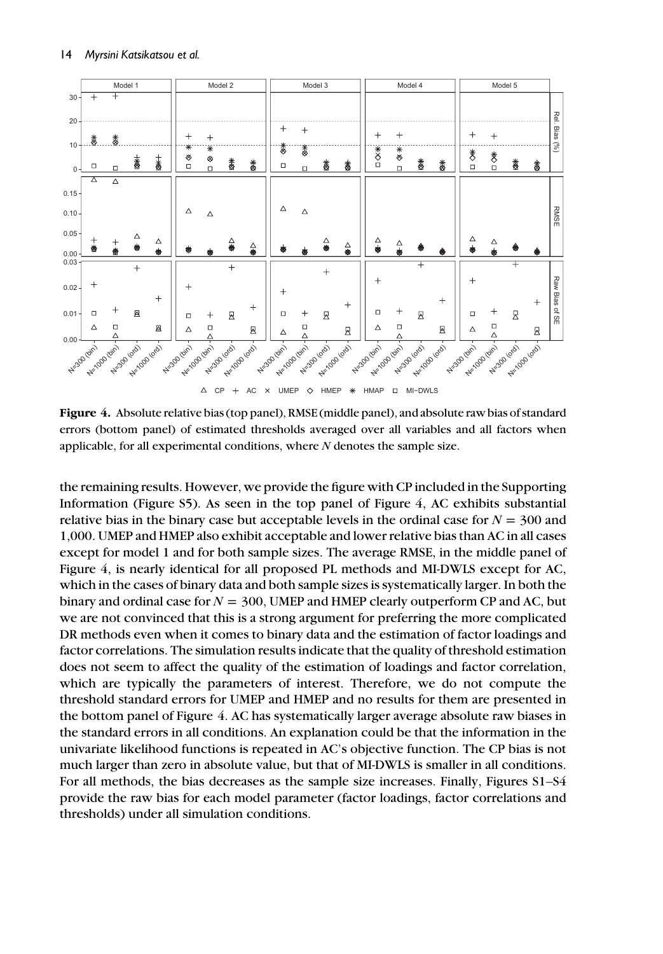

Figure 4. Absolute relative bias (top panel), RMSE (middle panel), and absolute raw bias of standard errors (bottom panel) of estimated thresholds averaged over all variables and all factors when applicable, for all experimental conditions, where  $N$  denotes the sample size.

the remaining results. However, we provide the figure with CP included in the Supporting Information (Figure S5). As seen in the top panel of Figure 4, AC exhibits substantial relative bias in the binary case but acceptable levels in the ordinal case for  $N = 300$  and 1,000. UMEP and HMEP also exhibit acceptable and lower relative bias than AC in all cases except for model 1 and for both sample sizes. The average RMSE, in the middle panel of Figure 4, is nearly identical for all proposed PL methods and MI-DWLS except for AC, which in the cases of binary data and both sample sizes is systematically larger. In both the binary and ordinal case for  $N = 300$ , UMEP and HMEP clearly outperform CP and AC, but we are not convinced that this is a strong argument for preferring the more complicated DR methods even when it comes to binary data and the estimation of factor loadings and factor correlations. The simulation results indicate that the quality of threshold estimation does not seem to affect the quality of the estimation of loadings and factor correlation, which are typically the parameters of interest. Therefore, we do not compute the threshold standard errors for UMEP and HMEP and no results for them are presented in the bottom panel of Figure 4. AC has systematically larger average absolute raw biases in the standard errors in all conditions. An explanation could be that the information in the univariate likelihood functions is repeated in AC's objective function. The CP bias is not much larger than zero in absolute value, but that of MI-DWLS is smaller in all conditions. For all methods, the bias decreases as the sample size increases. Finally, Figures S1–S4 provide the raw bias for each model parameter (factor loadings, factor correlations and thresholds) under all simulation conditions.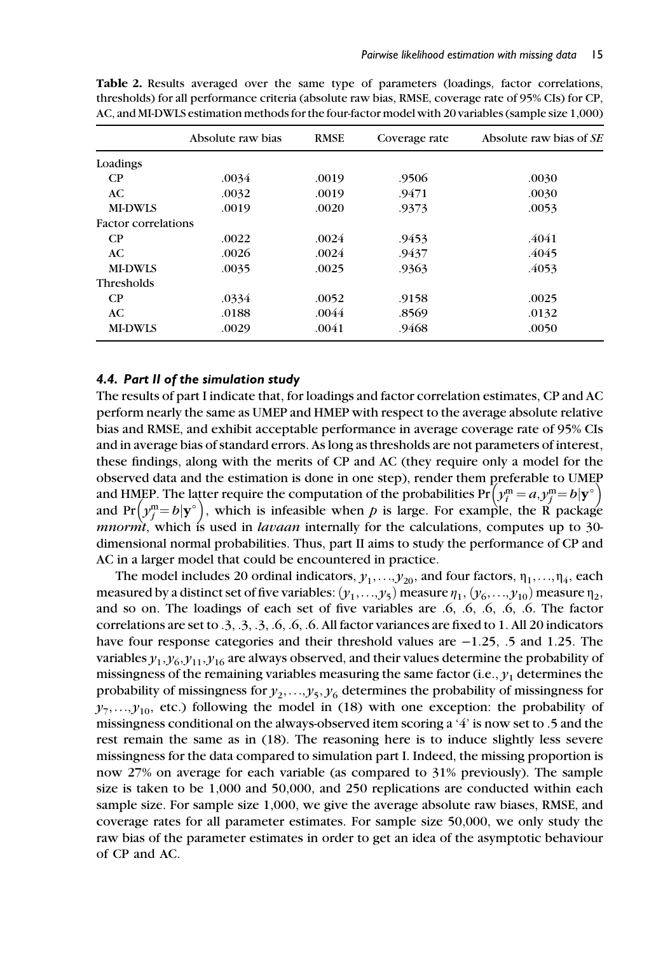|                            | Absolute raw bias |       | Coverage rate | Absolute raw bias of SE |  |
|----------------------------|-------------------|-------|---------------|-------------------------|--|
| Loadings                   |                   |       |               |                         |  |
| $\mathbf{C}$               | .0034             | .0019 | .9506         | .0030                   |  |
| AC                         | .0032             | .0019 | .9471         | .0030                   |  |
| <b>MI-DWLS</b>             | .0019             | .0020 | .9373         | .0053                   |  |
| <b>Factor correlations</b> |                   |       |               |                         |  |
| $\mathbf{C}$               | .0022             | .0024 | .9453         | .4041                   |  |
| AC.                        | .0026             | .0024 | .9437         | .4045                   |  |
| <b>MI-DWLS</b>             | .0035             | .0025 | .9363         | .4053                   |  |
| <b>Thresholds</b>          |                   |       |               |                         |  |
| $\mathbf{C}$               | .0334             | .0052 | .9158         | .0025                   |  |
| AC.                        | .0188             | .0044 | .8569         | .0132                   |  |
| <b>MI-DWLS</b>             | .0029             | .0041 | .9468         | .0050                   |  |

Table 2. Results averaged over the same type of parameters (loadings, factor correlations, thresholds) for all performance criteria (absolute raw bias, RMSE, coverage rate of 95% CIs) for CP, AC, and MI-DWLS estimation methods for the four-factor model with 20 variables (sample size 1,000)

#### 4.4. Part II of the simulation study

The results of part I indicate that, for loadings and factor correlation estimates, CP and AC perform nearly the same as UMEP and HMEP with respect to the average absolute relative bias and RMSE, and exhibit acceptable performance in average coverage rate of 95% CIs and in average bias of standard errors. As long as thresholds are not parameters of interest, these findings, along with the merits of CP and AC (they require only a model for the observed data and the estimation is done in one step), render them preferable to UMEP and HMEP. The latter require the computation of the probabilities  $Pr(y_i^m = a, y_j^m = b | y^{\circ})$ <br>and  $Pr(y_i^m - b | y^{\circ})$  which is infeasible when *t* is large. For example, the B package and Pr  $(y_i^m - b | y^o)$ , which is infeasible when p is large. For example, the R package<br>mnormt which is used in *lavaan* internally for the calculations computes up to 30. mnormt, which is used in *lavaan* internally for the calculations, computes up to 30dimensional normal probabilities. Thus, part II aims to study the performance of CP and AC in a larger model that could be encountered in practice.

The model includes 20 ordinal indicators,  $y_1, \ldots, y_{20}$ , and four factors,  $\eta_1, \ldots, \eta_4$ , each measured by a distinct set of five variables:  $(y_1,...,y_5)$  measure  $\eta_1, (y_6,...,y_{10})$  measure  $\eta_2$ , and so on. The loadings of each set of five variables are .6, .6, .6, .6, .6. The factor correlations are set to .3, .3, .3, .6, .6, .6. All factor variances are fixed to 1. All 20 indicators have four response categories and their threshold values are −1.25, .5 and 1.25. The variables  $y_1, y_6, y_{11}, y_{16}$  are always observed, and their values determine the probability of missingness of the remaining variables measuring the same factor (i.e.,  $y_1$  determines the probability of missingness for  $y_2, \ldots, y_5, y_6$  determines the probability of missingness for  $\gamma_7, \ldots, \gamma_{10}$ , etc.) following the model in (18) with one exception: the probability of missingness conditional on the always-observed item scoring a '4' is now set to .5 and the rest remain the same as in (18). The reasoning here is to induce slightly less severe missingness for the data compared to simulation part I. Indeed, the missing proportion is now 27% on average for each variable (as compared to 31% previously). The sample size is taken to be 1,000 and 50,000, and 250 replications are conducted within each sample size. For sample size 1,000, we give the average absolute raw biases, RMSE, and coverage rates for all parameter estimates. For sample size 50,000, we only study the raw bias of the parameter estimates in order to get an idea of the asymptotic behaviour of CP and AC.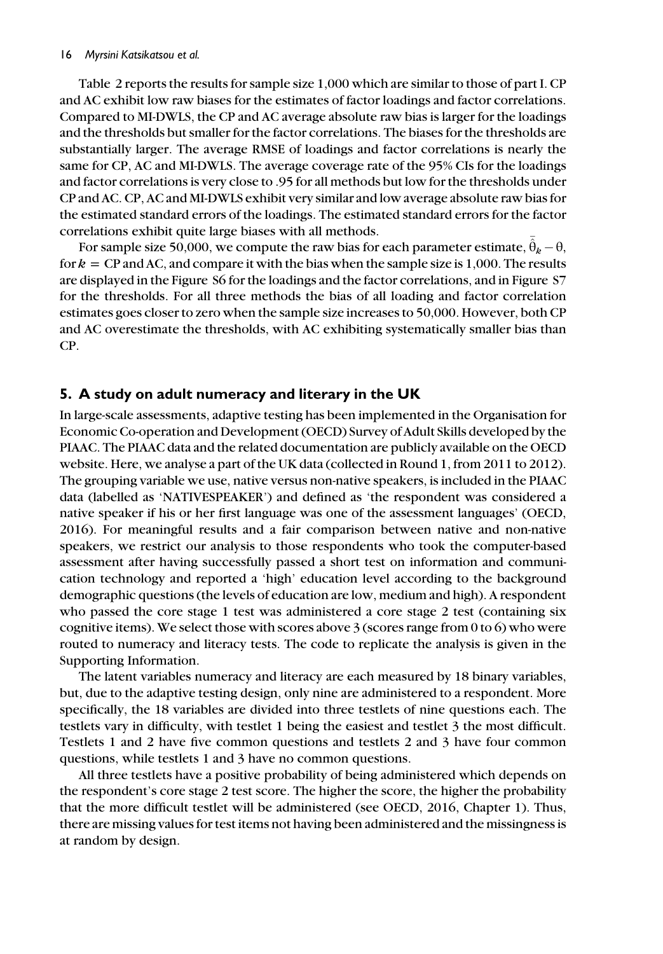#### 16 Myrsini Katsikatsou et al.

Table 2 reports the results for sample size 1,000 which are similar to those of part I. CP and AC exhibit low raw biases for the estimates of factor loadings and factor correlations. Compared to MI-DWLS, the CP and AC average absolute raw bias is larger for the loadings and the thresholds but smaller for the factor correlations. The biases for the thresholds are substantially larger. The average RMSE of loadings and factor correlations is nearly the same for CP, AC and MI-DWLS. The average coverage rate of the 95% CIs for the loadings and factor correlations is very close to .95 for all methods but low for the thresholds under CP and AC. CP, AC and MI-DWLS exhibit very similar and low average absolute raw bias for the estimated standard errors of the loadings. The estimated standard errors for the factor correlations exhibit quite large biases with all methods.

For sample size 50,000, we compute the raw bias for each parameter estimate,  $\hat{\bar{\theta}}_k - \theta$ , for  $k = CP$  and AC, and compare it with the bias when the sample size is 1,000. The results are displayed in the Figure S6 for the loadings and the factor correlations, and in Figure S7 for the thresholds. For all three methods the bias of all loading and factor correlation estimates goes closer to zero when the sample size increases to 50,000. However, both CP and AC overestimate the thresholds, with AC exhibiting systematically smaller bias than CP.

# 5. A study on adult numeracy and literary in the UK

In large-scale assessments, adaptive testing has been implemented in the Organisation for Economic Co-operation and Development (OECD) Survey of Adult Skills developed by the PIAAC. The PIAAC data and the related documentation are publicly available on the OECD website. Here, we analyse a part of the UK data (collected in Round 1, from 2011 to 2012). The grouping variable we use, native versus non-native speakers, is included in the PIAAC data (labelled as 'NATIVESPEAKER') and defined as 'the respondent was considered a native speaker if his or her first language was one of the assessment languages' (OECD, 2016). For meaningful results and a fair comparison between native and non-native speakers, we restrict our analysis to those respondents who took the computer-based assessment after having successfully passed a short test on information and communication technology and reported a 'high' education level according to the background demographic questions (the levels of education are low, medium and high). A respondent who passed the core stage 1 test was administered a core stage 2 test (containing six cognitive items). We select those with scores above 3 (scores range from 0 to 6) who were routed to numeracy and literacy tests. The code to replicate the analysis is given in the Supporting Information.

The latent variables numeracy and literacy are each measured by 18 binary variables, but, due to the adaptive testing design, only nine are administered to a respondent. More specifically, the 18 variables are divided into three testlets of nine questions each. The testlets vary in difficulty, with testlet 1 being the easiest and testlet 3 the most difficult. Testlets 1 and 2 have five common questions and testlets 2 and 3 have four common questions, while testlets 1 and 3 have no common questions.

All three testlets have a positive probability of being administered which depends on the respondent's core stage 2 test score. The higher the score, the higher the probability that the more difficult testlet will be administered (see OECD, 2016, Chapter 1). Thus, there are missing values for test items not having been administered and the missingness is at random by design.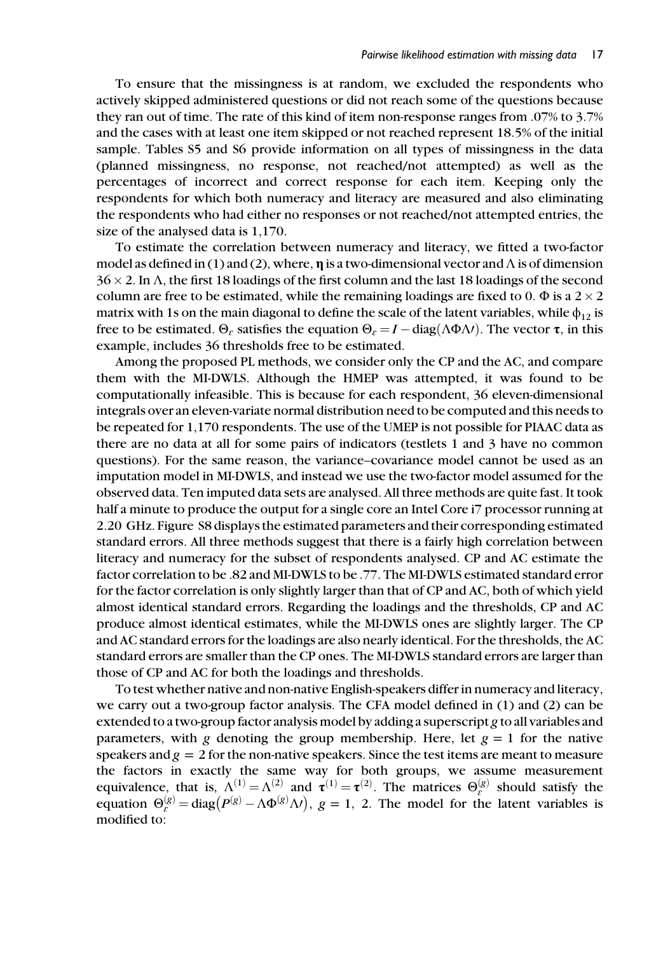To ensure that the missingness is at random, we excluded the respondents who actively skipped administered questions or did not reach some of the questions because they ran out of time. The rate of this kind of item non-response ranges from .07% to 3.7% and the cases with at least one item skipped or not reached represent 18.5% of the initial sample. Tables S5 and S6 provide information on all types of missingness in the data (planned missingness, no response, not reached/not attempted) as well as the percentages of incorrect and correct response for each item. Keeping only the respondents for which both numeracy and literacy are measured and also eliminating the respondents who had either no responses or not reached/not attempted entries, the size of the analysed data is 1,170.

To estimate the correlation between numeracy and literacy, we fitted a two-factor model as defined in (1) and (2), where,  $\eta$  is a two-dimensional vector and  $\Lambda$  is of dimension  $36 \times 2$ . In  $\Lambda$ , the first 18 loadings of the first column and the last 18 loadings of the second column are free to be estimated, while the remaining loadings are fixed to 0.  $\Phi$  is a 2  $\times$  2 matrix with 1s on the main diagonal to define the scale of the latent variables, while  $\phi_{12}$  is free to be estimated.  $\Theta_{\varepsilon}$  satisfies the equation  $\Theta_{\varepsilon} = I - \text{diag}(\Lambda \Phi \Lambda I)$ . The vector  $\tau$ , in this example, includes 36 thresholds free to be estimated.

Among the proposed PL methods, we consider only the CP and the AC, and compare them with the MI-DWLS. Although the HMEP was attempted, it was found to be computationally infeasible. This is because for each respondent, 36 eleven-dimensional integrals over an eleven-variate normal distribution need to be computed and this needs to be repeated for 1,170 respondents. The use of the UMEP is not possible for PIAAC data as there are no data at all for some pairs of indicators (testlets 1 and 3 have no common questions). For the same reason, the variance–covariance model cannot be used as an imputation model in MI-DWLS, and instead we use the two-factor model assumed for the observed data. Ten imputed data sets are analysed. All three methods are quite fast. It took half a minute to produce the output for a single core an Intel Core i7 processor running at 2.20 GHz. Figure S8 displays the estimated parameters and their corresponding estimated standard errors. All three methods suggest that there is a fairly high correlation between literacy and numeracy for the subset of respondents analysed. CP and AC estimate the factor correlation to be .82 and MI-DWLS to be .77. The MI-DWLS estimated standard error for the factor correlation is only slightly larger than that of CP and AC, both of which yield almost identical standard errors. Regarding the loadings and the thresholds, CP and AC produce almost identical estimates, while the MI-DWLS ones are slightly larger. The CP and AC standard errors for the loadings are also nearly identical. For the thresholds, the AC standard errors are smaller than the CP ones. The MI-DWLS standard errors are larger than those of CP and AC for both the loadings and thresholds.

To test whether native and non-native English-speakers differ in numeracy and literacy, we carry out a two-group factor analysis. The CFA model defined in (1) and (2) can be extended to a two-group factor analysis model by adding a superscript g to all variables and parameters, with g denoting the group membership. Here, let  $g = 1$  for the native speakers and  $g = 2$  for the non-native speakers. Since the test items are meant to measure the factors in exactly the same way for both groups, we assume measurement equivalence, that is,  $\Lambda^{(1)} = \Lambda^{(2)}$  and  $\tau^{(1)} = \tau^{(2)}$ . The matrices  $\Theta_{\varepsilon}^{(g)}$  should satisfy the equation  $\Theta_{\varepsilon}^{(g)} = \text{diag}(P^{(g)} - \Lambda \Phi^{(g)} \Lambda I), g = 1, 2$ . The model for the latent variables is modified to: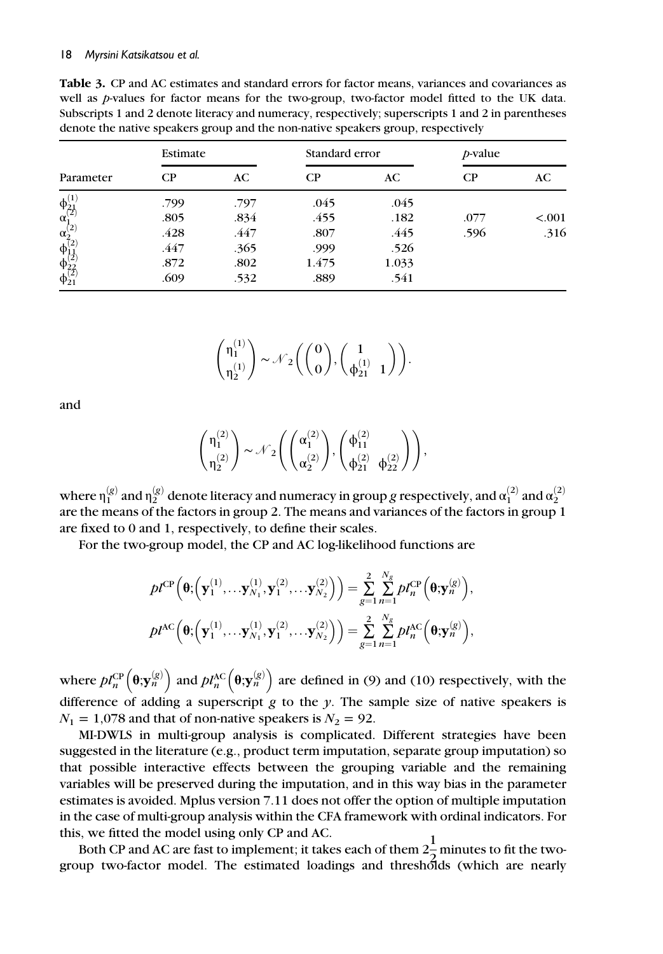Table 3. CP and AC estimates and standard errors for factor means, variances and covariances as well as *p*-values for factor means for the two-group, two-factor model fitted to the UK data. Subscripts 1 and 2 denote literacy and numeracy, respectively; superscripts 1 and 2 in parentheses denote the native speakers group and the non-native speakers group, respectively

|                                                | Estimate |      | Standard error |       | <i>p</i> -value |         |  |
|------------------------------------------------|----------|------|----------------|-------|-----------------|---------|--|
| Parameter                                      | $\rm CP$ | AC.  | СP             | AC.   | $\mathbf{C}$    | AC      |  |
| $\overset{\varphi_{21}^{(1)}}{\alpha_1^{(2)}}$ | .799     | .797 | .045           | .045  |                 |         |  |
|                                                | .805     | .834 | .455           | .182  | .077            | < 0.001 |  |
|                                                | .428     | .447 | .807           | .445  | .596            | .316    |  |
| $\alpha_{2}^{(2)}$<br>$\phi_{1,1}^{(2)}$       | .447     | .365 | .999           | .526  |                 |         |  |
|                                                | .872     | .802 | 1.475          | 1.033 |                 |         |  |
| $\phi_{22}^{(2)}$<br>$\phi_{21}^{(2)}$         | .609     | .532 | .889           | .541  |                 |         |  |

$$
\begin{pmatrix} \eta_1^{(1)} \\ \eta_2^{(1)} \end{pmatrix} \sim \mathcal{N}_2\bigg(\binom{0}{0}, \binom{1}{\varphi_{21}^{(1)}-1}\bigg).
$$

and

$$
\begin{pmatrix} \eta_1^{(2)} \\ \eta_2^{(2)} \end{pmatrix} \sim \mathcal{N}_2\Biggl(\begin{pmatrix} \alpha_1^{(2)} \\ \alpha_2^{(2)} \end{pmatrix}\! , \begin{pmatrix} \varphi_{11}^{(2)} \\ \varphi_{21}^{(2)} \phantom{.} \varphi_{22}^{(2)} \end{pmatrix}\Biggr),
$$

where  $\eta_1^{(g)}$  and  $\eta_2^{(g)}$  denote literacy and numeracy in group  $g$  respectively, and  $\alpha_1^{(2)}$  and  $\alpha_2^{(2)}$ are the means of the factors in group 2. The means and variances of the factors in group 1 are fixed to 0 and 1, respectively, to define their scales.

For the two-group model, the CP and AC log-likelihood functions are

$$
pl^{\text{CP}}\left(\boldsymbol{\theta};\left(\mathbf{y}_{1}^{(1)},\ldots,\mathbf{y}_{N_{1}}^{(1)},\mathbf{y}_{1}^{(2)},\ldots,\mathbf{y}_{N_{2}}^{(2)}\right)\right) = \sum_{g=1}^{2} \sum_{n=1}^{N_{g}} pl_{n}^{\text{CP}}\left(\boldsymbol{\theta};\mathbf{y}_{n}^{(g)}\right),
$$

$$
pl^{\text{AC}}\left(\boldsymbol{\theta};\left(\mathbf{y}_{1}^{(1)},\ldots,\mathbf{y}_{N_{1}}^{(1)},\mathbf{y}_{1}^{(2)},\ldots,\mathbf{y}_{N_{2}}^{(2)}\right)\right) = \sum_{g=1}^{2} \sum_{n=1}^{N_{g}} pl_{n}^{\text{AC}}\left(\boldsymbol{\theta};\mathbf{y}_{n}^{(g)}\right),
$$

where  $pl_n^{\text{CP}}(\theta; \mathbf{y}_n^{(g)})$  and  $pl_n^{\text{AC}}(\theta; \mathbf{y}_n^{(g)})$  are defined in (9) and (10) respectively, with the difference of adding a superscript  $g$  to the  $y$ . The sample size of native speakers is  $N_1 = 1,078$  and that of non-native speakers is  $N_2 = 92$ .

MI-DWLS in multi-group analysis is complicated. Different strategies have been suggested in the literature (e.g., product term imputation, separate group imputation) so that possible interactive effects between the grouping variable and the remaining variables will be preserved during the imputation, and in this way bias in the parameter estimates is avoided. Mplus version 7.11 does not offer the option of multiple imputation in the case of multi-group analysis within the CFA framework with ordinal indicators. For this, we fitted the model using only CP and AC.

Both CP and AC are fast to implement; it takes each of them  $2\frac{1}{2}$  minutes to fit the twogroup two-factor model. The estimated loadings and thresholds (which are nearly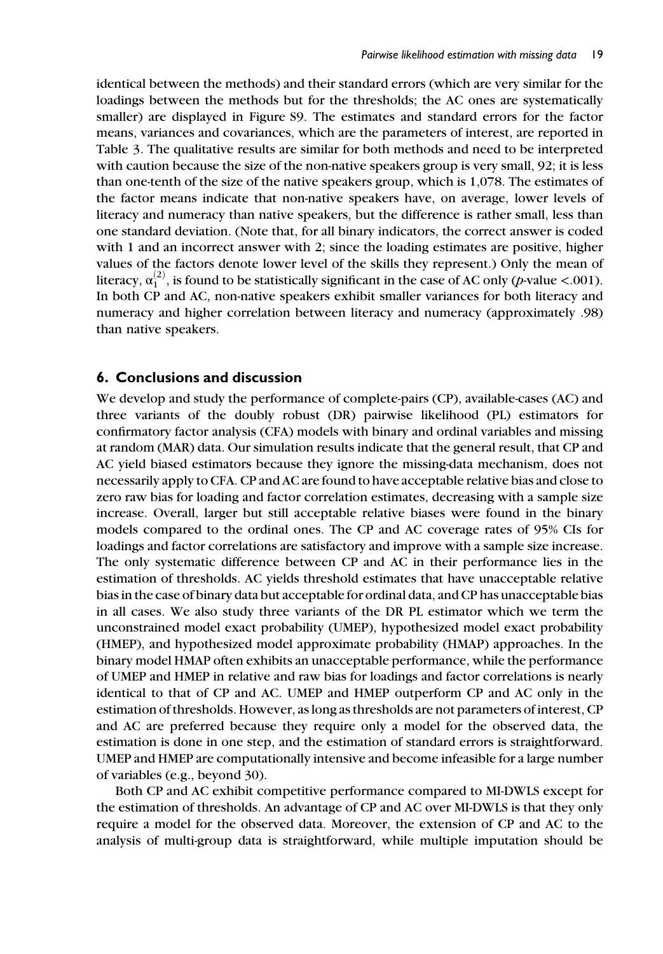identical between the methods) and their standard errors (which are very similar for the loadings between the methods but for the thresholds; the AC ones are systematically smaller) are displayed in Figure S9. The estimates and standard errors for the factor means, variances and covariances, which are the parameters of interest, are reported in Table 3. The qualitative results are similar for both methods and need to be interpreted with caution because the size of the non-native speakers group is very small, 92; it is less than one-tenth of the size of the native speakers group, which is 1,078. The estimates of the factor means indicate that non-native speakers have, on average, lower levels of literacy and numeracy than native speakers, but the difference is rather small, less than one standard deviation. (Note that, for all binary indicators, the correct answer is coded with 1 and an incorrect answer with 2; since the loading estimates are positive, higher values of the factors denote lower level of the skills they represent.) Only the mean of literacy,  $\alpha_1^{(2)}$ , is found to be statistically significant in the case of AC only (p-value <.001). In both CP and AC, non-native speakers exhibit smaller variances for both literacy and numeracy and higher correlation between literacy and numeracy (approximately .98) than native speakers.

## 6. Conclusions and discussion

We develop and study the performance of complete-pairs (CP), available-cases (AC) and three variants of the doubly robust (DR) pairwise likelihood (PL) estimators for confirmatory factor analysis (CFA) models with binary and ordinal variables and missing at random (MAR) data. Our simulation results indicate that the general result, that CP and AC yield biased estimators because they ignore the missing-data mechanism, does not necessarily apply to CFA. CP and AC are found to have acceptable relative bias and close to zero raw bias for loading and factor correlation estimates, decreasing with a sample size increase. Overall, larger but still acceptable relative biases were found in the binary models compared to the ordinal ones. The CP and AC coverage rates of 95% CIs for loadings and factor correlations are satisfactory and improve with a sample size increase. The only systematic difference between CP and AC in their performance lies in the estimation of thresholds. AC yields threshold estimates that have unacceptable relative bias in the case of binary data but acceptable for ordinal data, and CP has unacceptable bias in all cases. We also study three variants of the DR PL estimator which we term the unconstrained model exact probability (UMEP), hypothesized model exact probability (HMEP), and hypothesized model approximate probability (HMAP) approaches. In the binary model HMAP often exhibits an unacceptable performance, while the performance of UMEP and HMEP in relative and raw bias for loadings and factor correlations is nearly identical to that of CP and AC. UMEP and HMEP outperform CP and AC only in the estimation of thresholds. However, as long as thresholds are not parameters of interest, CP and AC are preferred because they require only a model for the observed data, the estimation is done in one step, and the estimation of standard errors is straightforward. UMEP and HMEP are computationally intensive and become infeasible for a large number of variables (e.g., beyond 30).

Both CP and AC exhibit competitive performance compared to MI-DWLS except for the estimation of thresholds. An advantage of CP and AC over MI-DWLS is that they only require a model for the observed data. Moreover, the extension of CP and AC to the analysis of multi-group data is straightforward, while multiple imputation should be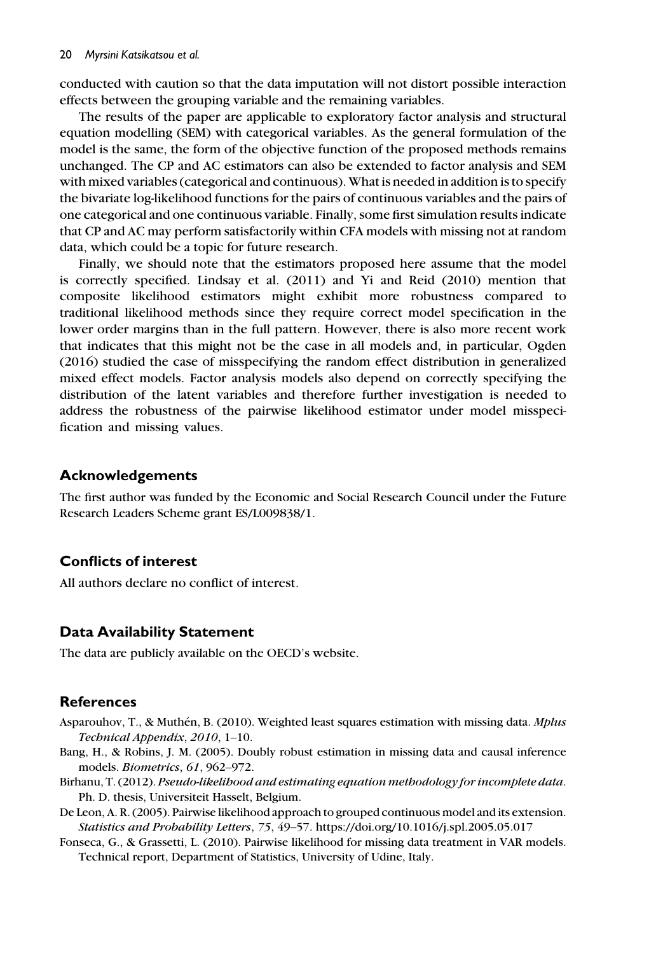conducted with caution so that the data imputation will not distort possible interaction effects between the grouping variable and the remaining variables.

The results of the paper are applicable to exploratory factor analysis and structural equation modelling (SEM) with categorical variables. As the general formulation of the model is the same, the form of the objective function of the proposed methods remains unchanged. The CP and AC estimators can also be extended to factor analysis and SEM with mixed variables (categorical and continuous). What is needed in addition is to specify the bivariate log-likelihood functions for the pairs of continuous variables and the pairs of one categorical and one continuous variable. Finally, some first simulation results indicate that CP and AC may perform satisfactorily within CFA models with missing not at random data, which could be a topic for future research.

Finally, we should note that the estimators proposed here assume that the model is correctly specified. Lindsay et al. (2011) and Yi and Reid (2010) mention that composite likelihood estimators might exhibit more robustness compared to traditional likelihood methods since they require correct model specification in the lower order margins than in the full pattern. However, there is also more recent work that indicates that this might not be the case in all models and, in particular, Ogden (2016) studied the case of misspecifying the random effect distribution in generalized mixed effect models. Factor analysis models also depend on correctly specifying the distribution of the latent variables and therefore further investigation is needed to address the robustness of the pairwise likelihood estimator under model misspecification and missing values.

## Acknowledgements

The first author was funded by the Economic and Social Research Council under the Future Research Leaders Scheme grant ES/L009838/1.

## Conflicts of interest

All authors declare no conflict of interest.

## Data Availability Statement

The data are publicly available on the OECD's website.

## **References**

- Asparouhov, T., & Muthén, B. (2010). Weighted least squares estimation with missing data. *Mplus* Technical Appendix, 2010, 1–10.
- Bang, H., & Robins, J. M. (2005). Doubly robust estimation in missing data and causal inference models. Biometrics, 61, 962–972.
- Birhanu, T. (2012). Pseudo-likelihood and estimating equation methodology for incomplete data. Ph. D. thesis, Universiteit Hasselt, Belgium.
- De Leon, A. R. (2005). Pairwise likelihood approach to grouped continuous model and its extension. Statistics and Probability Letters, 75, 49–57.<https://doi.org/10.1016/j.spl.2005.05.017>
- Fonseca, G., & Grassetti, L. (2010). Pairwise likelihood for missing data treatment in VAR models. Technical report, Department of Statistics, University of Udine, Italy.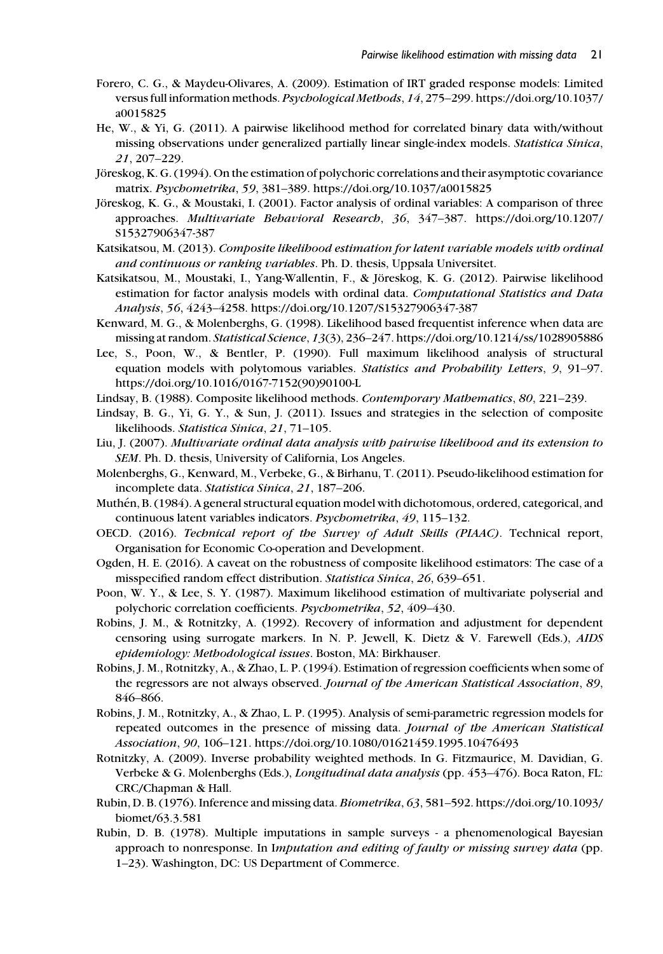- Forero, C. G., & Maydeu-Olivares, A. (2009). Estimation of IRT graded response models: Limited versus full information methods. Psychological Methods, 14, 275–299. [https://doi.org/10.1037/](https://doi.org/10.1037/a0015825) [a0015825](https://doi.org/10.1037/a0015825)
- He, W., & Yi, G. (2011). A pairwise likelihood method for correlated binary data with/without missing observations under generalized partially linear single-index models. Statistica Sinica, 21, 207–229.
- Jöreskog, K. G. (1994). On the estimation of polychoric correlations and their asymptotic covariance matrix. Psychometrika, 59, 381–389.<https://doi.org/10.1037/a0015825>
- Jöreskog, K. G., & Moustaki, I. (2001). Factor analysis of ordinal variables: A comparison of three approaches. Multivariate Behavioral Research, 36, 347–387. [https://doi.org/10.1207/](https://doi.org/10.1207/S15327906347-387) [S15327906347-387](https://doi.org/10.1207/S15327906347-387)
- Katsikatsou, M. (2013). Composite likelihood estimation for latent variable models with ordinal and continuous or ranking variables. Ph. D. thesis, Uppsala Universitet.
- Katsikatsou, M., Moustaki, I., Yang-Wallentin, F., & Jöreskog, K. G. (2012). Pairwise likelihood estimation for factor analysis models with ordinal data. Computational Statistics and Data Analysis, 56, 4243–4258.<https://doi.org/10.1207/S15327906347-387>
- Kenward, M. G., & Molenberghs, G. (1998). Likelihood based frequentist inference when data are missing at random. Statistical Science, 13(3), 236–247.<https://doi.org/10.1214/ss/1028905886>
- Lee, S., Poon, W., & Bentler, P. (1990). Full maximum likelihood analysis of structural equation models with polytomous variables. Statistics and Probability Letters, 9, 91–97. [https://doi.org/10.1016/0167-7152\(90\)90100-L](https://doi.org/10.1016/0167-7152(90)90100-L)
- Lindsay, B. (1988). Composite likelihood methods. Contemporary Mathematics, 80, 221–239.
- Lindsay, B. G., Yi, G. Y., & Sun, J. (2011). Issues and strategies in the selection of composite likelihoods. Statistica Sinica, 21, 71–105.
- Liu, J. (2007). Multivariate ordinal data analysis with pairwise likelihood and its extension to SEM. Ph. D. thesis, University of California, Los Angeles.
- Molenberghs, G., Kenward, M., Verbeke, G., & Birhanu, T. (2011). Pseudo-likelihood estimation for incomplete data. Statistica Sinica, 21, 187–206.
- Muthen, B. (1984). A general structural equation model with dichotomous, ordered, categorical, and ´ continuous latent variables indicators. Psychometrika, 49, 115–132.
- OECD. (2016). Technical report of the Survey of Adult Skills (PIAAC). Technical report, Organisation for Economic Co-operation and Development.
- Ogden, H. E. (2016). A caveat on the robustness of composite likelihood estimators: The case of a misspecified random effect distribution. Statistica Sinica, 26, 639–651.
- Poon, W. Y., & Lee, S. Y. (1987). Maximum likelihood estimation of multivariate polyserial and polychoric correlation coefficients. Psychometrika, 52, 409–430.
- Robins, J. M., & Rotnitzky, A. (1992). Recovery of information and adjustment for dependent censoring using surrogate markers. In N. P. Jewell, K. Dietz & V. Farewell (Eds.), AIDS epidemiology: Methodological issues. Boston, MA: Birkhauser.
- Robins, J. M., Rotnitzky, A., & Zhao, L. P. (1994). Estimation of regression coefficients when some of the regressors are not always observed. Journal of the American Statistical Association, 89, 846–866.
- Robins, J. M., Rotnitzky, A., & Zhao, L. P. (1995). Analysis of semi-parametric regression models for repeated outcomes in the presence of missing data. Journal of the American Statistical Association, 90, 106–121.<https://doi.org/10.1080/01621459.1995.10476493>
- Rotnitzky, A. (2009). Inverse probability weighted methods. In G. Fitzmaurice, M. Davidian, G. Verbeke & G. Molenberghs (Eds.), *Longitudinal data analysis* (pp. 453–476). Boca Raton, FL: CRC/Chapman & Hall.
- Rubin, D. B. (1976). Inference and missing data. Biometrika, 63, 581–592. [https://doi.org/10.1093/](https://doi.org/10.1093/biomet/63.3.581) [biomet/63.3.581](https://doi.org/10.1093/biomet/63.3.581)
- Rubin, D. B. (1978). Multiple imputations in sample surveys a phenomenological Bayesian approach to nonresponse. In Imputation and editing of faulty or missing survey data (pp. 1–23). Washington, DC: US Department of Commerce.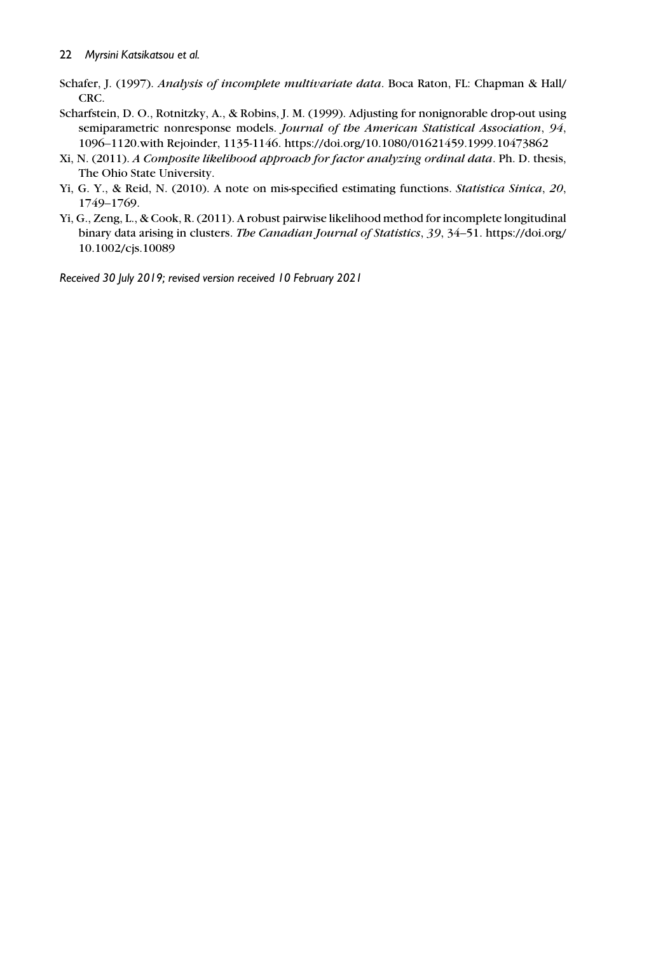- Schafer, J. (1997). Analysis of incomplete multivariate data. Boca Raton, FL: Chapman & Hall/ CRC.
- Scharfstein, D. O., Rotnitzky, A., & Robins, J. M. (1999). Adjusting for nonignorable drop-out using semiparametric nonresponse models. Journal of the American Statistical Association, 94, 1096–1120.with Rejoinder, 1135-1146.<https://doi.org/10.1080/01621459.1999.10473862>
- Xi, N. (2011). A Composite likelihood approach for factor analyzing ordinal data. Ph. D. thesis, The Ohio State University.
- Yi, G. Y., & Reid, N. (2010). A note on mis-specified estimating functions. Statistica Sinica, 20, 1749–1769.
- Yi, G., Zeng, L., & Cook, R. (2011). A robust pairwise likelihood method for incomplete longitudinal binary data arising in clusters. The Canadian Journal of Statistics, 39, 34–51. [https://doi.org/](https://doi.org/10.1002/cjs.10089) [10.1002/cjs.10089](https://doi.org/10.1002/cjs.10089)

Received 30 July 2019; revised version received 10 February 2021